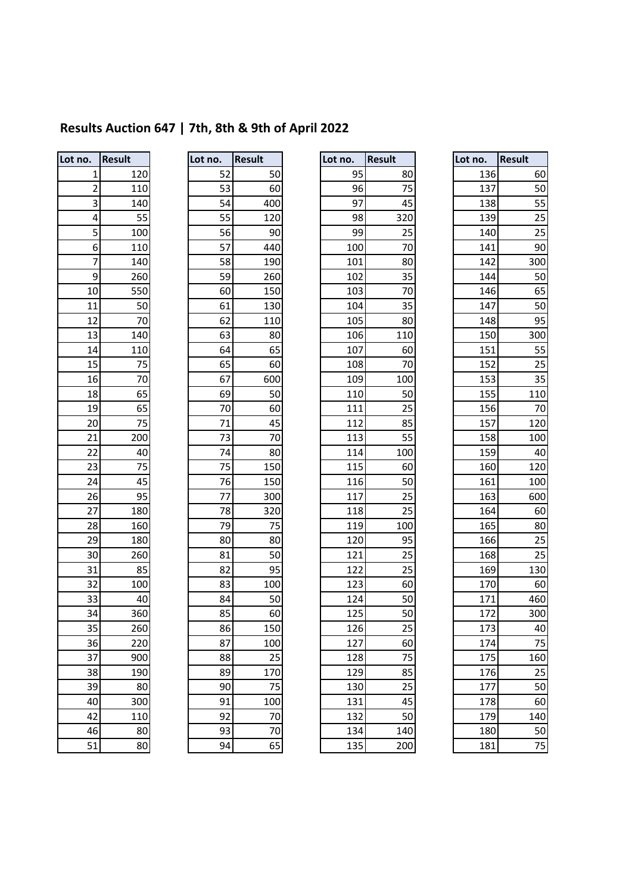# **Results Auction 647 | 7th, 8th & 9th of April 2022**

| Lot no.         | <b>Result</b>    |
|-----------------|------------------|
| 1               | $\overline{120}$ |
| 2               | 110              |
| 3               | 140              |
| $\overline{4}$  | 55               |
| 5               | 100              |
| 6               | 110              |
| 7               | 140              |
| 9               | 260              |
| 10              | 550              |
| 11              | 50               |
| $1\overline{2}$ | 70               |
| 13              | 140              |
| 14              | 110              |
| 15              | $\frac{75}{1}$   |
| 16              | 70               |
| 18              | 65               |
| 19              | 65               |
| 20              | 75               |
| 21              | 200              |
| 22              | 40               |
| 23              | 75               |
| 24              | 45               |
| 26              | 95               |
| 27              | 180              |
| 28              | 160              |
| 29              | 180              |
| 30              | 260              |
| 31              | 85               |
| 32              | 100              |
| 33              | 40               |
| 34              | 360              |
| 35              | 260              |
| 36              | 220              |
| 37              | 90C              |
| 38              | 190              |
| 39              | 80               |
| 40              | 300              |
| 42              | 110              |
| 46              | 80               |
| 51              | 80               |

| ot no. | Result |
|--------|--------|
| 52     | 50     |
| 53     | 60     |
| 54     | 400    |
| 55     | 120    |
| 56     | 90     |
| 57     | 440    |
| 58     | 190    |
| 59     | 260    |
| 60     | 150    |
| 61     | 130    |
| 62     | 110    |
| 63     | 80     |
| 64     | 65     |
| 65     | 60     |
| 67     | 600    |
| 69     | 50     |
| 70     | 60     |
| 71     | 45     |
| 73     | 70     |
| 74     | 80     |
| 75     | 150    |
| 76     | 150    |
| 77     | 300    |
| 78     | 320    |
| 79     | 75     |
| 80     | 80     |
| 81     | 50     |
| 82     | 95     |
| 83     | 100    |
| 84     | 50     |
| 85     | 60     |
| 86     | 150    |
| 87     | 100    |
| 88     |        |
| 89     | 170    |
| 90     | 75     |
| 91     | 100    |
| 92     | 70     |
| 93     | 70     |
|        |        |

| Lot no.        | <b>Result</b> | Lot no. | <b>Result</b> | Lot no. | <b>Result</b> | Lot no. | <b>Result</b> |
|----------------|---------------|---------|---------------|---------|---------------|---------|---------------|
| 1              | 120           | 52      | 50            | 95      | 80            | 136     | 60            |
| $\overline{2}$ | 110           | 53      | 60            | 96      | 75            | 137     | 50            |
| 3              | 140           | 54      | 400           | 97      | 45            | 138     | 55            |
| 4              | 55            | 55      | 120           | 98      | 320           | 139     | 25            |
| 5              | 100           | 56      | 90            | 99      | 25            | 140     | 25            |
| 6              | 110           | 57      | 440           | 100     | 70            | 141     | 90            |
| 7              | 140           | 58      | 190           | 101     | 80            | 142     | 300           |
| 9              | 260           | 59      | 260           | 102     | 35            | 144     | 50            |
| 10             | 550           | 60      | 150           | 103     | 70            | 146     | 65            |
| 11             | 50            | 61      | 130           | 104     | 35            | 147     | 50            |
| 12             | 70            | 62      | 110           | 105     | 80            | 148     | 95            |
| 13             | 140           | 63      | 80            | 106     | 110           | 150     | 300           |
| 14             | 110           | 64      | 65            | 107     | 60            | 151     | 55            |
| 15             | 75            | 65      | 60            | 108     | 70            | 152     | 25            |
| 16             | 70            | 67      | 600           | 109     | 100           | 153     | 35            |
| 18             | 65            | 69      | 50            | 110     | 50            | 155     | 110           |
| 19             | 65            | 70      | 60            | 111     | 25            | 156     | 70            |
| 20             | 75            | 71      | 45            | 112     | 85            | 157     | 120           |
| 21             | 200           | 73      | 70            | 113     | 55            | 158     | 100           |
| 22             | 40            | 74      | 80            | 114     | 100           | 159     | 40            |
| 23             | 75            | 75      | 150           | 115     | 60            | 160     | 120           |
| 24             | 45            | 76      | 150           | 116     | 50            | 161     | 100           |
| 26             | 95            | 77      | 300           | 117     | 25            | 163     | 60C           |
| 27             | 180           | 78      | 320           | 118     | 25            | 164     | 60            |
| 28             | 160           | 79      | 75            | 119     | 100           | 165     | 80            |
| 29             | 180           | 80      | 80            | 120     | 95            | 166     | 25            |
| 30             | 260           | 81      | 50            | 121     | 25            | 168     | 25            |
| 31             | 85            | 82      | 95            | 122     | 25            | 169     | 130           |
| 32             | 100           | 83      | 100           | 123     | 60            | 170     | <b>60</b>     |
| 33             | 40            | 84      | 50            | 124     | 50            | 171     | 460           |
| 34             | 360           | 85      | 60            | 125     | 50            | 172     | 300           |
| 35             | 260           | 86      | 150           | 126     | 25            | 173     | 40            |
| 36             | 220           | 87      | 100           | 127     | 60            | 174     | 75            |
| 37             | 900           | 88      | 25            | 128     | 75            | 175     | 160           |
| 38             | 190           | 89      | 170           | 129     | 85            | 176     | 25            |
| 39             | 80            | 90      | 75            | 130     | 25            | 177     | 50            |
| 40             | 300           | 91      | 100           | 131     | 45            | 178     | <b>60</b>     |
| 42             | 110           | 92      | 70            | 132     | 50            | 179     | 140           |
| 46             | 80            | 93      | 70            | 134     | 140           | 180     | 50            |
| 51             | 80            | 94      | 65            | 135     | 200           | 181     | 75            |

|                 | Result | Lot no. |    | <b>Result</b> | Lot no. | <b>Result</b> | Lot no. | <b>Result</b> |
|-----------------|--------|---------|----|---------------|---------|---------------|---------|---------------|
| $\mathbf{1}$    | 120    |         | 52 | 50            | 95      | 80            | 136     | 60            |
| $\mathbf 2$     | 110    |         | 53 | 60            | 96      | 75            | 137     | 50            |
| 3               | 140    |         | 54 | 400           | 97      | 45            | 138     | 55            |
| 4               | 55     |         | 55 | 120           | 98      | 320           | 139     | 25            |
| 5               | 100    |         | 56 | 90            | 99      | 25            | 140     | 25            |
| 6               | 110    |         | 57 | 440           | 100     | 70            | 141     | 90            |
| $\overline{7}$  | 140    |         | 58 | 190           | 101     | 80            | 142     | 300           |
| 9               | 260    |         | 59 | 260           | 102     | 35            | 144     | 50            |
| 10              | 550    |         | 60 | 150           | 103     | 70            | 146     | 65            |
| 11              | 50     |         | 61 | 130           | 104     | 35            | 147     | 50            |
| 12              | 70     |         | 62 | 110           | 105     | 80            | 148     | 95            |
| $\overline{13}$ | 140    |         | 63 | 80            | 106     | 110           | 150     | 300           |
| 14              | 110    |         | 64 | 65            | 107     | 60            | 151     | 55            |
| 15              | 75     |         | 65 | 60            | 108     | 70            | 152     | 25            |
| 16              | 70     |         | 67 | 600           | 109     | 100           | 153     | 35            |
| 18              | 65     |         | 69 | 50            | 110     | 50            | 155     | 110           |
| 19              | 65     |         | 70 | 60            | 111     | 25            | 156     | 70            |
| 20              | 75     |         | 71 | 45            | 112     | 85            | 157     | 120           |
| 21              | 200    |         | 73 | 70            | 113     | 55            | 158     | 100           |
| 22              | 40     |         | 74 | 80            | 114     | 100           | 159     | 40            |
| 23              | 75     |         | 75 | 150           | 115     | 60            | 160     | 120           |
| $\overline{24}$ | 45     |         | 76 | 150           | 116     | 50            | 161     | 100           |
| 26              | 95     |         | 77 | 300           | 117     | 25            | 163     | 600           |
| 27              | 180    |         | 78 | 320           | 118     | 25            | 164     | 60            |
| 28              | 160    |         | 79 | 75            | 119     | 100           | 165     | 80            |
| 29              | 180    |         | 80 | 80            | 120     | 95            | 166     | 25            |
| 30              | 260    |         | 81 | 50            | 121     | 25            | 168     | 25            |
| 31              | 85     |         | 82 | 95            | 122     | 25            | 169     | 130           |
| 32              | 100    |         | 83 | 100           | 123     | 60            | 170     | 60            |
| 33              | 40     |         | 84 | 50            | 124     | 50            | 171     | 460           |
| 34              | 360    |         | 85 | 60            | 125     | 50            | 172     | 300           |
| 35              | 260    |         | 86 | 150           | 126     | 25            | 173     | 40            |
| 36              | 220    |         | 87 | 100           | 127     | 60            | 174     | 75            |
| 37              | 900    |         | 88 | 25            | 128     | 75            | 175     | 160           |
| 38              | 190    |         | 89 | 170           | 129     | 85            | 176     | 25            |
| 39              | 80     |         | 90 | 75            | 130     | 25            | 177     | 50            |
| 40              | 300    |         | 91 | 100           | 131     | 45            | 178     | 60            |
| 42              | 110    |         | 92 | 70            | 132     | 50            | 179     | 140           |
| <u>46</u>       | 80     |         | 93 | 70            | 134     | 140           | 180     | 50            |
| 51              | 80     |         | 94 | 65            | 135     | 200           | 181     | 75            |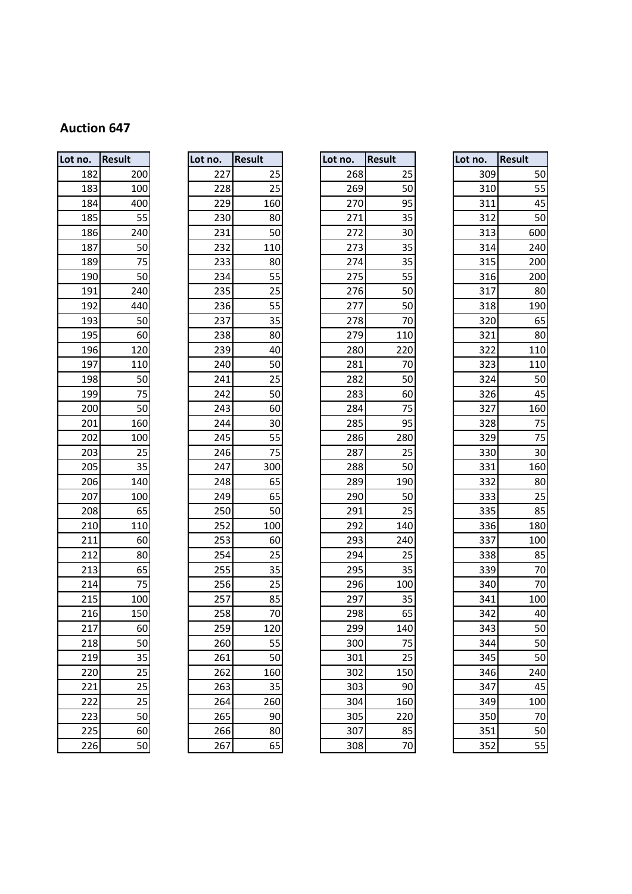| Lot no. | <b>Result</b> |
|---------|---------------|
| 182     | 200           |
| 183     | 100           |
| 184     | 400           |
| 185     | 55            |
| 186     | 240           |
| 187     | 50            |
| 189     | 75            |
| 190     | 50            |
| 191     | 240           |
| 192     | 440           |
| 193     | 50            |
| 195     | 60            |
| 196     | 120           |
| 197     | 110           |
| 198     | 50            |
| 199     | 75            |
| 200     | 50            |
| 201     | 160           |
| 202     | 100           |
| 203     | 25            |
| 205     | 35            |
| 206     | 140           |
| 207     | 100           |
| 208     | 65            |
| 210     | 110           |
| 211     | 60            |
| 212     | 80            |
| 213     | 65            |
| 214     | 75            |
| 215     | 100           |
| 216     | 150           |
| 217     | 60            |
| 218     | 50            |
| 219     | 35            |
| 220     | 25            |
| 221     | 25            |
| 222     | 25            |
| 223     | 50            |
|         | 60            |
| 226     | 50            |

| Lot no. | <b>Result</b> |
|---------|---------------|
| 227     | 25            |
| 228     | 25            |
| 229     | 160           |
| 230     | 80            |
| 231     | 50            |
| 232     | 110           |
| 233     | 80            |
| 234     | 55            |
| 235     | _<br>25       |
| 236     | 55            |
| 237     | 35            |
| 238     | 80            |
| 239     | 40            |
| 240     | 50            |
| 241     | 25            |
| 242     | 50            |
| 243     | 60            |
| 244     | 30            |
| 245     | 55            |
| 246     | 75            |
| 247     | 300           |
| 248     | 65            |
| 249     | 65            |
| 250     | 50            |
| 252     | 100           |
| 253     | 60            |
| 254     | 25            |
| 255     | 35            |
| 256     | 25            |
| 257     | 85            |
| 258     | 70            |
| 259     | 120           |
| 260     | 55            |
| 261     | 50            |
| 262     | 160           |
| 263     | 35            |
| 264     | 260           |
| 265     | 90            |
| 266     | 80            |
|         |               |

| Lot no. | <b>Result</b> | Lot no. | <b>Result</b> | Lot no. | <b>Result</b> | Lot no. | <b>Result</b> |
|---------|---------------|---------|---------------|---------|---------------|---------|---------------|
| 182     | 200           | 227     | 25            | 268     | 25            | 309     | 50            |
| 183     | 100           | 228     | 25            | 269     | 50            | 310     | 55            |
| 184     | 400           | 229     | 160           | 270     | 95            | 311     | 45            |
| 185     | 55            | 230     | 80            | 271     | 35            | 312     | 50            |
| 186     | 240           | 231     | 50            | 272     | 30            | 313     | 600           |
| 187     | 50            | 232     | 110           | 273     | 35            | 314     | 240           |
| 189     | 75            | 233     | 80            | 274     | 35            | 315     | 200           |
| 190     | 50            | 234     | 55            | 275     | 55            | 316     | 200           |
| 191     | 240           | 235     | 25            | 276     | 50            | 317     | 80            |
| 192     | 440           | 236     | 55            | 277     | 50            | 318     | 190           |
| 193     | 50            | 237     | 35            | 278     | 70            | 320     | 65            |
| 195     | 60            | 238     | 80            | 279     | 110           | 321     | 80            |
| 196     | 120           | 239     | 40            | 280     | 220           | 322     | 110           |
| 197     | 110           | 240     | 50            | 281     | 70            | 323     | 110           |
| 198     | 50            | 241     | 25            | 282     | 50            | 324     | 50            |
| 199     | 75            | 242     | 50            | 283     | 60            | 326     | 45            |
| 200     | 50            | 243     | 60            | 284     | 75            | 327     | 160           |
| 201     | 160           | 244     | 30            | 285     | 95            | 328     | 75            |
| 202     | 100           | 245     | 55            | 286     | 280           | 329     | 75            |
| 203     | 25            | 246     | 75            | 287     | 25            | 330     | 30            |
| 205     | 35            | 247     | 300           | 288     | 50            | 331     | 160           |
| 206     | 140           | 248     | 65            | 289     | 190           | 332     | 80            |
| 207     | 100           | 249     | 65            | 290     | 50            | 333     | 25            |
| 208     | 65            | 250     | 50            | 291     | 25            | 335     | 85            |
| 210     | 110           | 252     | 100           | 292     | 140           | 336     | 180           |
| 211     | 60            | 253     | 60            | 293     | 240           | 337     | 100           |
| 212     | 80            | 254     | 25            | 294     | 25            | 338     | 85            |
| 213     | 65            | 255     | 35            | 295     | 35            | 339     | 70            |
| 214     | 75            | 256     | 25            | 296     | 100           | 340     | 70            |
| 215     | 100           | 257     | 85            | 297     | 35            | 341     | 100           |
| 216     | 150           | 258     | 70            | 298     | 65            | 342     | 4C            |
| 217     | 60            | 259     | 120           | 299     | 140           | 343     | 50            |
| 218     | 50            | 260     | 55            | 300     | 75            | 344     | 50            |
| 219     | 35            | 261     | 50            | 301     | 25            | 345     | 50            |
| 220     | 25            | 262     | 160           | 302     | 150           | 346     | 240           |
| 221     | 25            | 263     | 35            | 303     | 90            | 347     | 45            |
| 222     | 25            | 264     | 260           | 304     | 160           | 349     | 100           |
| 223     | 50            | 265     | 90            | 305     | 220           | 350     | 70            |
| 225     | 60            | 266     | 80            | 307     | 85            | 351     | 50            |
| 226     | 50            | 267     | 65            | 308     | 70            | 352     | 55            |

| O.  | <b>Result</b> | Lot no. |     | <b>Result</b> | Lot no. | <b>Result</b> | Lot no. | <b>Result</b> |
|-----|---------------|---------|-----|---------------|---------|---------------|---------|---------------|
| 182 | 200           |         | 227 | 25            | 268     | 25            | 309     | 50            |
| 183 | 100           |         | 228 | 25            | 269     | 50            | 310     | 55            |
| 184 | 400           |         | 229 | 160           | 270     | 95            | 311     | 45            |
| 185 | 55            |         | 230 | 80            | 271     | 35            | 312     | 50            |
| 186 | 240           |         | 231 | 50            | 272     | 30            | 313     | 600           |
| 187 | 50            |         | 232 | 110           | 273     | 35            | 314     | 240           |
| 189 | 75            |         | 233 | 80            | 274     | 35            | 315     | 200           |
| 190 | 50            |         | 234 | 55            | 275     | 55            | 316     | 200           |
| 191 | 240           |         | 235 | 25            | 276     | 50            | 317     | 80            |
| 192 | 440           |         | 236 | 55            | 277     | 50            | 318     | 190           |
| 193 | 50            |         | 237 | 35            | 278     | 70            | 320     | 65            |
| 195 | 60            |         | 238 | 80            | 279     | 110           | 321     | 80            |
| 196 | 120           |         | 239 | 40            | 280     | 220           | 322     | 110           |
| 197 | 110           |         | 240 | 50            | 281     | 70            | 323     | 110           |
| 198 | 50            |         | 241 | 25            | 282     | 50            | 324     | 50            |
| 199 | 75            |         | 242 | 50            | 283     | 60            | 326     | 45            |
| 200 | 50            |         | 243 | 60            | 284     | 75            | 327     | 160           |
| 201 | 160           |         | 244 | 30            | 285     | 95            | 328     | 75            |
| 202 | 100           |         | 245 | 55            | 286     | 280           | 329     | 75            |
| 203 | 25            |         | 246 | 75            | 287     | 25            | 330     | 30            |
| 205 | 35            |         | 247 | 300           | 288     | 50            | 331     | 160           |
| 206 | 140           |         | 248 | 65            | 289     | 190           | 332     | 80            |
| 207 | 100           |         | 249 | 65            | 290     | 50            | 333     | 25            |
| 208 | 65            |         | 250 | 50            | 291     | 25            | 335     | 85            |
| 210 | 110           |         | 252 | 100           | 292     | 140           | 336     | 180           |
| 211 | 60            |         | 253 | 60            | 293     | 240           | 337     | 100           |
| 212 | 80            |         | 254 | 25            | 294     | 25            | 338     | 85            |
| 213 | 65            |         | 255 | 35            | 295     | 35            | 339     | 70            |
| 214 | 75            |         | 256 | 25            | 296     | 100           | 340     | 70            |
| 215 | 100           |         | 257 | 85            | 297     | 35            | 341     | 100           |
| 216 | 150           |         | 258 | 70            | 298     | 65            | 342     | 40            |
| 217 | 60            |         | 259 | 120           | 299     | 140           | 343     | 50            |
| 218 | 50            |         | 260 | 55            | 300     | 75            | 344     | 50            |
| 219 | 35            |         | 261 | 50            | 301     | 25            | 345     | 50            |
| 220 | 25            |         | 262 | 160           | 302     | 150           | 346     | 240           |
| 221 | 25            |         | 263 | 35            | 303     | 90            | 347     | 45            |
| 222 | 25            |         | 264 | 260           | 304     | 160           | 349     | 100           |
| 223 | 50            |         | 265 | 90            | 305     | 220           | 350     | 70            |
| 225 | 60            |         | 266 | 80            | 307     | 85            | 351     | 50            |
| 226 | 50            |         | 267 | 65            | 308     | 70            | 352     | 55            |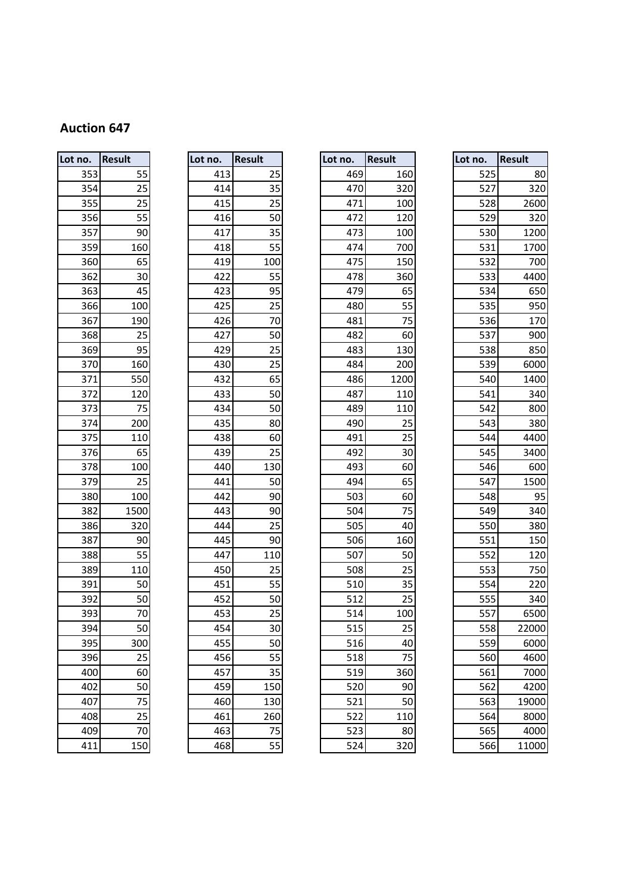| Lot no. | <b>Result</b> |
|---------|---------------|
| 353     | 55            |
| 354     | 25            |
| 355     | 25            |
| 356     | 55            |
| 357     | 90            |
| 359     | 160           |
| 360     | 65            |
| 362     | 30            |
| 363     | 45            |
| 366     | 100           |
| 367     | 190           |
| 368     | 25            |
| 369     | 95            |
| 370     | 160           |
| 371     | 550           |
| 372     | <u>120</u>    |
| 373     | 75            |
| 374     | 200           |
| 375     | 110           |
| 376     | 65            |
| 378     | 100           |
| 379     | 25            |
| 380     | 100           |
| 382     | 1500          |
| 386     | 320           |
| 387     | 90            |
| 388     | 55            |
| 389     | 110           |
| 391     | 50            |
| 392     | 50            |
| 393     | 70            |
| 394     | 50            |
| 395     | 300           |
| 396     | 25            |
| 400     | 60            |
| 402     | 50            |
| 407     | 75            |
| 408     | 25            |
| 409     | 70            |
| 411     | 150           |

| Lot no. | Result          |
|---------|-----------------|
| 413     | 25              |
| 414     | 35              |
| 415     | 25              |
| 416     | 50              |
| 417     | 35              |
| 418     | 55              |
| 419     | 100             |
| 422     | 55              |
| 423     | 95              |
| 425     | 25              |
| 426     | 70              |
| 427     | 50              |
| 429     | $\overline{25}$ |
| 430     | 25              |
| 432     | 65              |
| 433     | 50              |
| 434     | 50              |
| 435     | 80              |
| 438     | 60              |
| 439     | 25              |
| 440     | 130             |
| 441     | 50              |
| 442     | 90              |
| 443     | 90              |
| 444     | 25              |
| 445     | 90              |
| 447     | 110             |
| 450     | 25              |
| 451     | 55              |
| 452     | 50              |
| 453     | 25              |
| 454     | 30              |
| 455     | 50              |
| 456     | 55              |
| 457     | 35              |
| 459     | 150             |
| 460     | 130             |
| 461     | 260             |
| 463     | 75              |
|         |                 |

| Lot no. | <b>Result</b> | Lot no. | <b>Result</b> | Lot no. | <b>Result</b> | Lot no. | <b>Result</b>   |
|---------|---------------|---------|---------------|---------|---------------|---------|-----------------|
| 353     | 55            | 413     | 25            | 469     | 160           | 525     | 80              |
| 354     | 25            | 414     | 35            | 470     | 320           | 527     | 320             |
| 355     | 25            | 415     | 25            | 471     | 100           | 528     | 2600            |
| 356     | 55            | 416     | 50            | 472     | 120           | 529     | 320             |
| 357     | 90            | 417     | 35            | 473     | 100           | 530     | 1200            |
| 359     | 160           | 418     | 55            | 474     | 700           | 531     | 1700            |
| 360     | 65            | 419     | 100           | 475     | 150           | 532     | 700             |
| 362     | 30            | 422     | 55            | 478     | 360           | 533     | 4400            |
| 363     | 45            | 423     | 95            | 479     | 65            | 534     | 650             |
| 366     | 100           | 425     | 25            | 480     | 55            | 535     | 95C             |
| 367     | 190           | 426     | 70            | 481     | 75            | 536     | 170             |
| 368     | 25            | 427     | 50            | 482     | 60            | 537     | 90 <sub>C</sub> |
| 369     | 95            | 429     | 25            | 483     | 130           | 538     | 850             |
| 370     | 160           | 430     | 25            | 484     | 200           | 539     | 6000            |
| 371     | 550           | 432     | 65            | 486     | 1200          | 540     | 1400            |
| 372     | 120           | 433     | 50            | 487     | 110           | 541     | 340             |
| 373     | 75            | 434     | 50            | 489     | 110           | 542     | 800             |
| 374     | 200           | 435     | 80            | 490     | 25            | 543     | 380             |
| 375     | 110           | 438     | 60            | 491     | 25            | 544     | 4400            |
| 376     | 65            | 439     | 25            | 492     | 30            | 545     | 3400            |
| 378     | 100           | 440     | 130           | 493     | 60            | 546     | 600             |
| 379     | 25            | 441     | 50            | 494     | 65            | 547     | 1500            |
| 380     | 100           | 442     | 90            | 503     | 60            | 548     | 95              |
| 382     | 1500          | 443     | 90            | 504     | 75            | 549     | 340             |
| 386     | 320           | 444     | 25            | 505     | 40            | 550     | <b>380</b>      |
| 387     | 90            | 445     | 90            | 506     | 160           | 551     | 150             |
| 388     | 55            | 447     | 110           | 507     | 50            | 552     | 120             |
| 389     | 110           | 450     | 25            | 508     | 25            | 553     | 750             |
| 391     | 50            | 451     | 55            | 510     | 35            | 554     | 220             |
| 392     | 50            | 452     | 50            | 512     | 25            | 555     | 34C             |
| 393     | 70            | 453     | 25            | 514     | 100           | 557     | 6500            |
| 394     | 50            | 454     | 30            | 515     | 25            | 558     | 22000           |
| 395     | 300           | 455     | 50            | 516     | 40            | 559     | 6000            |
| 396     | 25            | 456     | 55            | 518     | 75            | 560     | 460C            |
| 400     | 60            | 457     | 35            | 519     | 360           | 561     | 7000            |
| 402     | 50            | 459     | 150           | 520     | 90            | 562     | 4200            |
| 407     | 75            | 460     | 130           | 521     | 50            | 563     | 19000           |
| 408     | 25            | 461     | 260           | 522     | 110           | 564     | 8000            |
| 409     | 70            | 463     | 75            | 523     | 80            | 565     | 400C            |
| 411     | 150           | 468     | 55            | 524     | 320           | 566     | 11000           |

| O.  | Result | Lot no. | <b>Result</b> | Lot no. | <b>Result</b> | Lot no. | <b>Result</b> |
|-----|--------|---------|---------------|---------|---------------|---------|---------------|
| 353 | 55     | 413     | 25            | 469     | 160           | 525     | 80            |
| 354 | 25     | 414     | 35            | 470     | 320           | 527     | 320           |
| 355 | 25     | 415     | 25            | 471     | 100           | 528     | 2600          |
| 356 | 55     | 416     | 50            | 472     | 120           | 529     | 320           |
| 357 | 90     | 417     | 35            | 473     | 100           | 530     | 1200          |
| 359 | 160    | 418     | 55            | 474     | 700           | 531     | 1700          |
| 360 | 65     | 419     | 100           | 475     | 150           | 532     | 700           |
| 362 | 30     | 422     | 55            | 478     | 360           | 533     | 4400          |
| 363 | 45     | 423     | 95            | 479     | 65            | 534     | 650           |
| 366 | 100    | 425     | 25            | 480     | 55            | 535     | 950           |
| 367 | 190    | 426     | 70            | 481     | 75            | 536     | 170           |
| 368 | 25     | 427     | 50            | 482     | 60            | 537     | 900           |
| 369 | 95     | 429     | 25            | 483     | 130           | 538     | 850           |
| 370 | 160    | 430     | 25            | 484     | 200           | 539     | 6000          |
| 371 | 550    | 432     | 65            | 486     | 1200          | 540     | 1400          |
| 372 | 120    | 433     | 50            | 487     | 110           | 541     | 340           |
| 373 | 75     | 434     | 50            | 489     | 110           | 542     | 800           |
| 374 | 200    | 435     | 80            | 490     | 25            | 543     | 380           |
| 375 | 110    | 438     | 60            | 491     | 25            | 544     | 4400          |
| 376 | 65     | 439     | 25            | 492     | 30            | 545     | 3400          |
| 378 | 100    | 440     | 130           | 493     | 60            | 546     | 600           |
| 379 | 25     | 441     | 50            | 494     | 65            | 547     | 1500          |
| 380 | 100    | 442     | 90            | 503     | 60            | 548     | 95            |
| 382 | 1500   | 443     | 90            | 504     | 75            | 549     | 340           |
| 386 | 320    | 444     | 25            | 505     | 40            | 550     | 380           |
| 387 | 90     | 445     | 90            | 506     | 160           | 551     | 150           |
| 388 | 55     | 447     | 110           | 507     | 50            | 552     | 120           |
| 389 | 110    | 450     | 25            | 508     | 25            | 553     | 750           |
| 391 | 50     | 451     | 55            | 510     | 35            | 554     | 220           |
| 392 | 50     | 452     | 50            | 512     | 25            | 555     | 340           |
| 393 | 70     | 453     | 25            | 514     | 100           | 557     | 6500          |
| 394 | 50     | 454     | 30            | 515     | 25            | 558     | 22000         |
| 395 | 300    | 455     | 50            | 516     | 40            | 559     | 6000          |
| 396 | 25     | 456     | 55            | 518     | 75            | 560     | 4600          |
| 400 | 60     | 457     | 35            | 519     | 360           | 561     | 7000          |
| 402 | 50     | 459     | 150           | 520     | 90            | 562     | 4200          |
| 407 | 75     | 460     | 130           | 521     | 50            | 563     | 19000         |
| 408 | 25     | 461     | 260           | 522     | 110           | 564     | 8000          |
| 409 | 70     | 463     | 75            | 523     | 80            | 565     | 4000          |
| 411 | 150    | 468     | 55            | 524     | 320           | 566     | 11000         |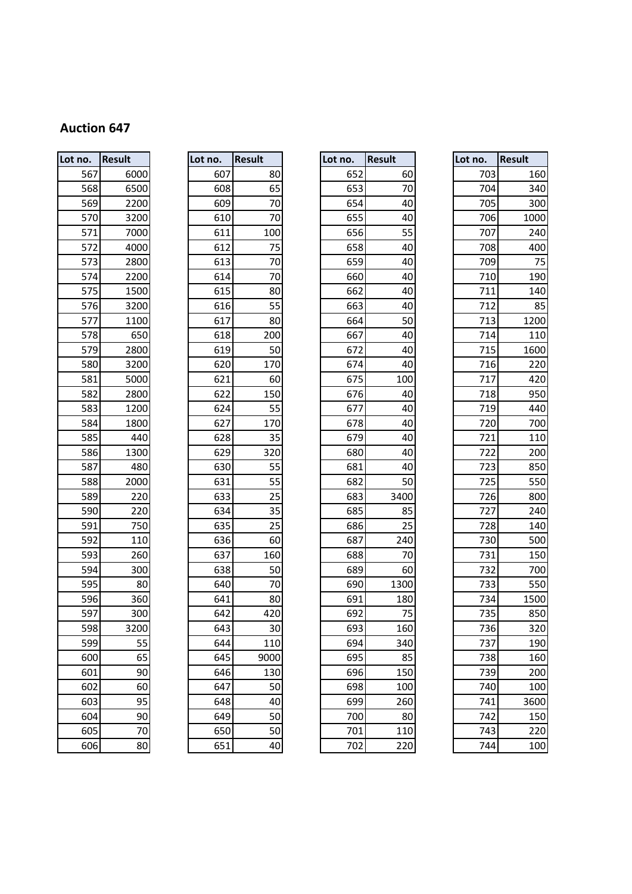| Lot no.    |  | <b>Result</b> |  |  |  |  |  |
|------------|--|---------------|--|--|--|--|--|
| 567        |  | 6000          |  |  |  |  |  |
| 568        |  | 6500          |  |  |  |  |  |
| 569        |  | 2200          |  |  |  |  |  |
| 570        |  | 3200          |  |  |  |  |  |
| 571        |  | 7000          |  |  |  |  |  |
| 572        |  | 4000          |  |  |  |  |  |
| 573        |  | 2800          |  |  |  |  |  |
| 574        |  | 2200          |  |  |  |  |  |
| 575        |  | 1500          |  |  |  |  |  |
| 576        |  | 3200          |  |  |  |  |  |
| 577        |  | 1100          |  |  |  |  |  |
| 578        |  | 650           |  |  |  |  |  |
| 579        |  | 2800          |  |  |  |  |  |
| 580        |  | 3200          |  |  |  |  |  |
| 581        |  | 5000          |  |  |  |  |  |
| 582        |  | 2800          |  |  |  |  |  |
| 583        |  | 1200          |  |  |  |  |  |
| 584        |  | 1800          |  |  |  |  |  |
| 585        |  | 440           |  |  |  |  |  |
| 586        |  | 1300<br>480   |  |  |  |  |  |
| 587        |  |               |  |  |  |  |  |
| 588        |  | 2000          |  |  |  |  |  |
| 589        |  | 220           |  |  |  |  |  |
| 590        |  | 220           |  |  |  |  |  |
| 591        |  | 750           |  |  |  |  |  |
| 592        |  | 110           |  |  |  |  |  |
| 593        |  | 260           |  |  |  |  |  |
| 594        |  | 300           |  |  |  |  |  |
| 595        |  | 80            |  |  |  |  |  |
| 596        |  | 360           |  |  |  |  |  |
| 597        |  | 300           |  |  |  |  |  |
| 598        |  | 3200          |  |  |  |  |  |
| 599        |  | 55            |  |  |  |  |  |
| 600        |  | 65            |  |  |  |  |  |
| 601        |  | 90            |  |  |  |  |  |
|            |  |               |  |  |  |  |  |
| 602<br>603 |  | 60<br>95      |  |  |  |  |  |
| 604        |  |               |  |  |  |  |  |
|            |  | 90            |  |  |  |  |  |
| 605        |  | 7C            |  |  |  |  |  |
| 606        |  | 80            |  |  |  |  |  |

| Lot no.           | <b>Result</b>  |
|-------------------|----------------|
| 607               | 80             |
| 608               | 65             |
| 609               | 70             |
| 610               | 70             |
| 611               | 100            |
| 612               | $\frac{75}{2}$ |
| 613               | $\frac{70}{1}$ |
| 614               | 70             |
| 615               | 80             |
| 616               | 55             |
| 617               | 80             |
| 618               | 200            |
| 619               | 50             |
| 620               | 170            |
| 621               | 60             |
| 622               | 150            |
| 624               | 55             |
| 627               | 170            |
| 628               | 35             |
| 629               | 320            |
| 630               | 55             |
| 631               | 55             |
| 633               | $\frac{25}{2}$ |
| 634               | 35             |
| 635               | 25             |
| 636               | 60             |
| 637               | 160            |
| 638               | 50             |
| 640               | 70             |
| 641               | 80             |
| 642               | 420            |
| 643               | 30             |
| $\overline{6}$ 44 | 110            |
| 645               | 9000           |
| 646               | 130            |
| 647               | 50             |
| 648               | 40             |
| 649               | 50             |
| 650               | 50             |
|                   |                |

| Lot no. | Result | Lot no. | <b>Result</b> | Lot no. | <b>Result</b> | Lot no. | <b>Result</b> |
|---------|--------|---------|---------------|---------|---------------|---------|---------------|
| 567     | 6000   | 607     | 80            | 652     | 60            | 703     | 160           |
| 568     | 6500   | 608     | 65            | 653     | 70            | 704     | 340           |
| 569     | 2200   | 609     | 70            | 654     | 40            | 705     | 300           |
| 570     | 3200   | 610     | 70            | 655     | 40            | 706     | 1000          |
| 571     | 7000   | 611     | 100           | 656     | 55            | 707     | 240           |
| 572     | 4000   | 612     | 75            | 658     | 40            | 708     | 400           |
| 573     | 2800   | 613     | 70            | 659     | 40            | 709     | 75            |
| 574     | 2200   | 614     | 70            | 660     | 40            | 710     | 190           |
| 575     | 1500   | 615     | 80            | 662     | 40            | 711     | 140           |
| 576     | 3200   | 616     | 55            | 663     | 40            | 712     | 85            |
| 577     | 1100   | 617     | 80            | 664     | 50            | 713     | 1200          |
| 578     | 650    | 618     | 200           | 667     | 40            | 714     | 110           |
| 579     | 2800   | 619     | 50            | 672     | 40            | 715     | 1600          |
| 580     | 3200   | 620     | 170           | 674     | 40            | 716     | 220           |
| 581     | 5000   | 621     | 60            | 675     | 100           | 717     | 420           |
| 582     | 2800   | 622     | 150           | 676     | 40            | 718     | 950           |
| 583     | 1200   | 624     | 55            | 677     | 40            | 719     | 44C           |
| 584     | 1800   | 627     | 170           | 678     | 40            | 720     | 700           |
| 585     | 440    | 628     | 35            | 679     | 40            | 721     | 110           |
| 586     | 1300   | 629     | 320           | 680     | 40            | 722     | 200           |
| 587     | 480    | 630     | 55            | 681     | 40            | 723     | 850           |
| 588     | 2000   | 631     | 55            | 682     | 50            | 725     | 550           |
| 589     | 220    | 633     | 25            | 683     | 3400          | 726     | 800           |
| 590     | 220    | 634     | 35            | 685     | 85            | 727     | 240           |
| 591     | 750    | 635     | 25            | 686     | 25            | 728     | 140           |
| 592     | 110    | 636     | 60            | 687     | 240           | 730     | 500           |
| 593     | 260    | 637     | 160           | 688     | 70            | 731     | 150           |
| 594     | 300    | 638     | 50            | 689     | 60            | 732     | 700           |
| 595     | 80     | 640     | 70            | 690     | 1300          | 733     | 550           |
| 596     | 360    | 641     | 80            | 691     | 180           | 734     | 1500          |
| 597     | 300    | 642     | 420           | 692     | 75            | 735     | 850           |
| 598     | 3200   | 643     | 30            | 693     | 160           | 736     | 32C           |
| 599     | 55     | 644     | 110           | 694     | 340           | 737     | 190           |
| 600     | 65     | 645     | 9000          | 695     | 85            | 738     | 160           |
| 601     | 90     | 646     | 130           | 696     | 150           | 739     | 200           |
| 602     | 60     | 647     | 50            | 698     | 100           | 740     | 100           |
| 603     | 95     | 648     | 40            | 699     | 260           | 741     | 3600          |
| 604     | 90     | 649     | 50            | 700     | 80            | 742     | 150           |
| 605     | 70     | 650     | 50            | 701     | 110           | 743     | 220           |
| 606     | 80     | 651     | 40            | 702     | 220           | 744     | 100           |

| O.  | Result | Lot no. | <b>Result</b> | Lot no. | <b>Result</b> | Lot no. | <b>Result</b> |
|-----|--------|---------|---------------|---------|---------------|---------|---------------|
| 567 | 6000   | 607     | 80            | 652     | 60            | 703     | 160           |
| 568 | 6500   | 608     | 65            | 653     | 70            | 704     | 340           |
| 569 | 2200   | 609     | 70            | 654     | 40            | 705     | 300           |
| 570 | 3200   | 610     | 70            | 655     | 40            | 706     | 1000          |
| 571 | 7000   | 611     | 100           | 656     | 55            | 707     | 240           |
| 572 | 4000   | 612     | 75            | 658     | 40            | 708     | 400           |
| 573 | 2800   | 613     | 70            | 659     | 40            | 709     | 75            |
| 574 | 2200   | 614     | 70            | 660     | 40            | 710     | 190           |
| 575 | 1500   | 615     | 80            | 662     | 40            | 711     | 140           |
| 576 | 3200   | 616     | 55            | 663     | 40            | 712     | 85            |
| 577 | 1100   | 617     | 80            | 664     | 50            | 713     | 1200          |
| 578 | 650    | 618     | 200           | 667     | 40            | 714     | 110           |
| 579 | 2800   | 619     | 50            | 672     | 40            | 715     | 1600          |
| 580 | 3200   | 620     | 170           | 674     | 40            | 716     | 220           |
| 581 | 5000   | 621     | 60            | 675     | 100           | 717     | 420           |
| 582 | 2800   | 622     | 150           | 676     | 40            | 718     | 950           |
| 583 | 1200   | 624     | 55            | 677     | 40            | 719     | 440           |
| 584 | 1800   | 627     | 170           | 678     | 40            | 720     | 700           |
| 585 | 440    | 628     | 35            | 679     | 40            | 721     | 110           |
| 586 | 1300   | 629     | 320           | 680     | 40            | 722     | 200           |
| 587 | 480    | 630     | 55            | 681     | 40            | 723     | 850           |
| 588 | 2000   | 631     | 55            | 682     | 50            | 725     | 550           |
| 589 | 220    | 633     | 25            | 683     | 3400          | 726     | 800           |
| 590 | 220    | 634     | 35            | 685     | 85            | 727     | 240           |
| 591 | 750    | 635     | 25            | 686     | 25            | 728     | 140           |
| 592 | 110    | 636     | 60            | 687     | 240           | 730     | 500           |
| 593 | 260    | 637     | 160           | 688     | 70            | 731     | 150           |
| 594 | 300    | 638     | 50            | 689     | 60            | 732     | 700           |
| 595 | 80     | 640     | 70            | 690     | 1300          | 733     | 550           |
| 596 | 360    | 641     | 80            | 691     | 180           | 734     | 1500          |
| 597 | 300    | 642     | 420           | 692     | 75            | 735     | 850           |
| 598 | 3200   | 643     | 30            | 693     | 160           | 736     | 320           |
| 599 | 55     | 644     | 110           | 694     | 340           | 737     | 190           |
| 600 | 65     | 645     | 9000          | 695     | 85            | 738     | 160           |
| 601 | 90     | 646     | 130           | 696     | 150           | 739     | 200           |
| 602 | 60     | 647     | 50            | 698     | 100           | 740     | 100           |
| 603 | 95     | 648     | 40            | 699     | 260           | 741     | 3600          |
| 604 | 90     | 649     | 50            | 700     | 80            | 742     | 150           |
| 605 | 70     | 650     | 50            | 701     | 110           | 743     | 220           |
| 606 | 80     | 651     | 40            | 702     | 220           | 744     | 100           |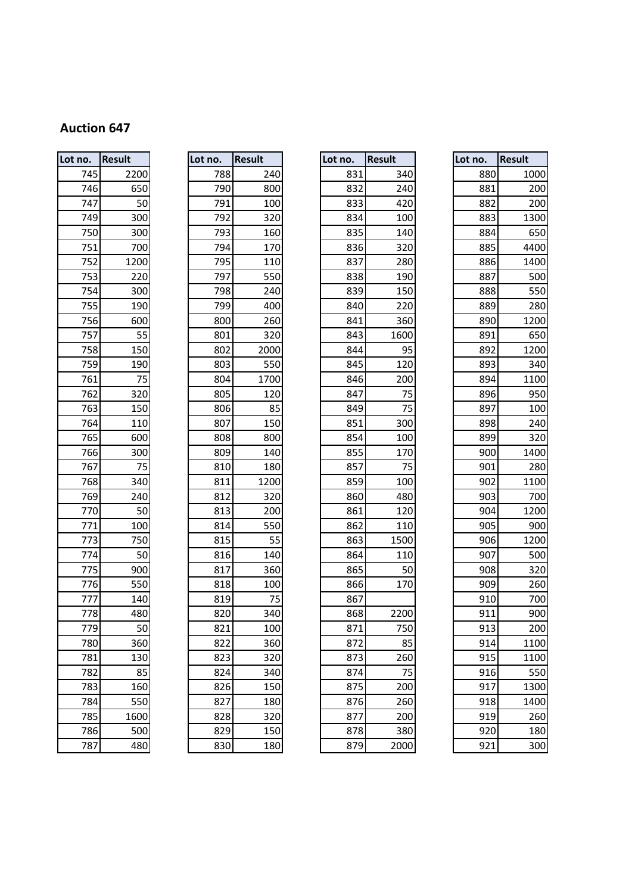| Lot no. | <b>Result</b> |
|---------|---------------|
| 745     | 2200          |
| 746     | 650           |
| 747     | 50            |
| 749     | 300           |
| 750     | 300           |
| 751     | 700           |
| 752     | 1200          |
| 753     | 220           |
| 754     | 300           |
| 755     | 190           |
| 756     | 600           |
| 757     | 55            |
| 758     | 150           |
| 759     | 190           |
| 761     | 75            |
| 762     | 320           |
| 763     | 150           |
| 764     | 110           |
| 765     | 600           |
| 766     | 300           |
| 767     | 75            |
| 768     | 340           |
| 769     | 240           |
| 770     | 50            |
| 771     | 100           |
| 773     | 750           |
| 774     | 50            |
| 775     | 900           |
| 776     | 550           |
| 777     | 140           |
| 778     | 480           |
| 779     | 50            |
| 780     | 360           |
| 781     | 130           |
| 782     | 85            |
| 783     | 160           |
| 784     | 550           |
| 785     | 1600          |
| 786     | 500           |
| 787     | 480           |

| Lot no. | <b>Result</b> |
|---------|---------------|
| 788     | 240           |
| 790     | 800           |
| 791     | 100           |
| 792     | 320           |
| 793     | 160           |
| 794     | 170           |
| 795     | 110           |
| 797     | 550           |
| 798     | 240           |
| 799     | 400           |
| 800     | 260           |
| 801     | 320           |
| 802     | 2000          |
| 803     | 550           |
| 804     | 1700          |
| 805     | 120           |
| 806     | 85            |
| 807     | 150           |
| 808     | 800           |
| 809     | 140           |
| 810     | 180           |
| 811     | 1200          |
| 812     | 320           |
| 813     | 200           |
| 814     | 550           |
| 815     | 55            |
| 816     | 140           |
| 817     | 360           |
| 818     | 100           |
| 819     | 75            |
| 820     | 340           |
| 821     | 100           |
| 822     | 360           |
| 823     | 320           |
| 824     | 340           |
| 826     | 150           |
| 827     | 180           |
| 828     | 320           |
| 829     | 150           |
|         |               |

| Lot no. | <b>Result</b> | Lot no. | <b>Result</b> | Lot no. | <b>Result</b> | Lot no. | <b>Result</b>   |
|---------|---------------|---------|---------------|---------|---------------|---------|-----------------|
| 745     | 2200          | 788     | 240           | 831     | 340           | 880     | 1000            |
| 746     | 650           | 790     | 800           | 832     | 240           | 881     | 200             |
| 747     | 50            | 791     | 100           | 833     | 420           | 882     | 200             |
| 749     | 300           | 792     | 320           | 834     | 100           | 883     | 1300            |
| 750     | 300           | 793     | 160           | 835     | 140           | 884     | 65C             |
| 751     | 700           | 794     | 170           | 836     | 320           | 885     | 4400            |
| 752     | 1200          | 795     | 110           | 837     | 280           | 886     | 1400            |
| 753     | 220           | 797     | 550           | 838     | 190           | 887     | 500             |
| 754     | 300           | 798     | 240           | 839     | 150           | 888     | 550             |
| 755     | 190           | 799     | 400           | 840     | 220           | 889     | 280             |
| 756     | 600           | 800     | 260           | 841     | 360           | 890     | 1200            |
| 757     | 55            | 801     | 320           | 843     | 1600          | 891     | 65C             |
| 758     | 150           | 802     | 2000          | 844     | 95            | 892     | 1200            |
| 759     | 190           | 803     | 550           | 845     | 120           | 893     | 340             |
| 761     | 75            | 804     | 1700          | 846     | 200           | 894     | 1100            |
| 762     | 320           | 805     | 120           | 847     | 75            | 896     | 95C             |
| 763     | 150           | 806     | 85            | 849     | 75            | 897     | 100             |
| 764     | 110           | 807     | 150           | 851     | 300           | 898     | 240             |
| 765     | 600           | 808     | 800           | 854     | 100           | 899     | 320             |
| 766     | 300           | 809     | 140           | 855     | 170           | 900     | 1400            |
| 767     | 75            | 810     | 180           | 857     | 75            | 901     | 280             |
| 768     | 340           | 811     | 1200          | 859     | 100           | 902     | 1100            |
| 769     | 240           | 812     | 320           | 860     | 480           | 903     | 700             |
| 770     | 50            | 813     | 200           | 861     | 120           | 904     | 1200            |
| 771     | 100           | 814     | 550           | 862     | 110           | 905     | 90 <sub>C</sub> |
| 773     | 750           | 815     | 55            | 863     | 1500          | 906     | 1200            |
| 774     | 50            | 816     | 140           | 864     | 110           | 907     | 500             |
| 775     | 900           | 817     | 360           | 865     | 50            | 908     | 320             |
| 776     | 550           | 818     | 100           | 866     | 170           | 909     | 260             |
| 777     | 140           | 819     | 75            | 867     |               | 910     | 700             |
| 778     | 480           | 820     | 340           | 868     | 2200          | 911     | 90C             |
| 779     | 50            | 821     | 100           | 871     | 750           | 913     | 200             |
| 780     | 360           | 822     | 360           | 872     | 85            | 914     | 1100            |
| 781     | 130           | 823     | 320           | 873     | 260           | 915     | 1100            |
| 782     | 85            | 824     | 340           | 874     | 75            | 916     | 550             |
| 783     | 160           | 826     | 150           | 875     | 200           | 917     | 1300            |
| 784     | 550           | 827     | 180           | 876     | 260           | 918     | 1400            |
| 785     | 1600          | 828     | 320           | 877     | 200           | 919     | 260             |
| 786     | 500           | 829     | 150           | 878     | 380           | 920     | 180             |
| 787     | 480           | 830     | 180           | 879     | 2000          | 921     | 300             |

| ۱O. | <b>Result</b> | Lot no. |     | <b>Result</b> | Lot no. | <b>Result</b> | Lot no. | <b>Result</b> |
|-----|---------------|---------|-----|---------------|---------|---------------|---------|---------------|
| 745 | 2200          |         | 788 | 240           | 831     | 340           | 880     | 1000          |
| 746 | 650           |         | 790 | 800           | 832     | 240           | 881     | 200           |
| 747 | 50            |         | 791 | 100           | 833     | 420           | 882     | 200           |
| 749 | 300           |         | 792 | 320           | 834     | 100           | 883     | 1300          |
| 750 | 300           |         | 793 | 160           | 835     | 140           | 884     | 650           |
| 751 | 700           |         | 794 | 170           | 836     | 320           | 885     | 4400          |
| 752 | 1200          |         | 795 | 110           | 837     | 280           | 886     | 1400          |
| 753 | 220           |         | 797 | 550           | 838     | 190           | 887     | 500           |
| 754 | 300           |         | 798 | 240           | 839     | 150           | 888     | 550           |
| 755 | 190           |         | 799 | 400           | 840     | 220           | 889     | 280           |
| 756 | 600           |         | 800 | 260           | 841     | 360           | 890     | 1200          |
| 757 | 55            |         | 801 | 320           | 843     | 1600          | 891     | 650           |
| 758 | 150           |         | 802 | 2000          | 844     | 95            | 892     | 1200          |
| 759 | 190           |         | 803 | 550           | 845     | 120           | 893     | 340           |
| 761 | 75            |         | 804 | 1700          | 846     | 200           | 894     | 1100          |
| 762 | 320           |         | 805 | 120           | 847     | 75            | 896     | 950           |
| 763 | 150           |         | 806 | 85            | 849     | 75            | 897     | 100           |
| 764 | 110           |         | 807 | 150           | 851     | 300           | 898     | 240           |
| 765 | 600           |         | 808 | 800           | 854     | 100           | 899     | 320           |
| 766 | 300           |         | 809 | 140           | 855     | 170           | 900     | 1400          |
| 767 | 75            |         | 810 | 180           | 857     | 75            | 901     | 280           |
| 768 | 340           |         | 811 | 1200          | 859     | 100           | 902     | 1100          |
| 769 | 240           |         | 812 | 320           | 860     | 480           | 903     | 700           |
| 770 | 50            |         | 813 | 200           | 861     | 120           | 904     | 1200          |
| 771 | 100           |         | 814 | 550           | 862     | 110           | 905     | 900           |
| 773 | 750           |         | 815 | 55            | 863     | 1500          | 906     | 1200          |
| 774 | 50            |         | 816 | 140           | 864     | 110           | 907     | 500           |
| 775 | 900           |         | 817 | 360           | 865     | 50            | 908     | 320           |
| 776 | 550           |         | 818 | 100           | 866     | 170           | 909     | 260           |
| 777 | 140           |         | 819 | 75            | 867     |               | 910     | 700           |
| 778 | 480           |         | 820 | 340           | 868     | 2200          | 911     | 900           |
| 779 | 50            |         | 821 | 100           | 871     | 750           | 913     | 200           |
| 780 | 360           |         | 822 | 360           | 872     | 85            | 914     | 1100          |
| 781 | 130           |         | 823 | 320           | 873     | 260           | 915     | 1100          |
| 782 | 85            |         | 824 | 340           | 874     | 75            | 916     | 550           |
| 783 | 160           |         | 826 | 150           | 875     | 200           | 917     | 1300          |
| 784 | 550           |         | 827 | 180           | 876     | 260           | 918     | 1400          |
| 785 | 1600          |         | 828 | 320           | 877     | 200           | 919     | 260           |
| 786 | 500           |         | 829 | 150           | 878     | 380           | 920     | 180           |
| 787 | 480           |         | 830 | 180           | 879     | 2000          | 921     | 300           |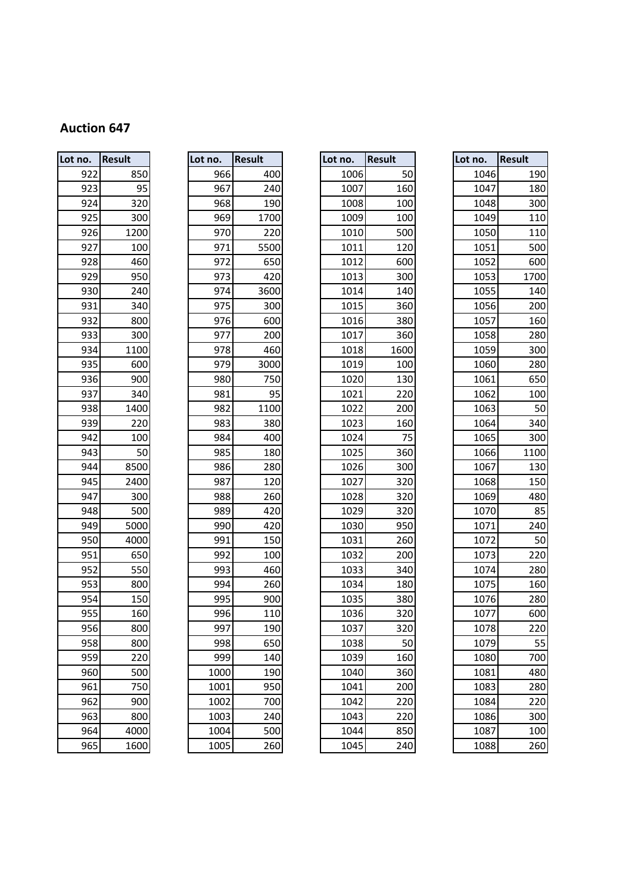| Lot no. | Result | Lot no. | <b>Result</b> | Lot no. | <b>Result</b> | Lot no. | <b>Result</b> |
|---------|--------|---------|---------------|---------|---------------|---------|---------------|
| 922     | 850    | 966     | 400           | 1006    | 50            | 1046    |               |
| 923     | 95     | 967     | 240           | 1007    | 160           | 1047    |               |
| 924     | 320    | 968     | 190           | 1008    | 100           | 1048    |               |
| 925     | 300    | 969     | 1700          | 1009    | 100           | 1049    |               |
| 926     | 1200   | 970     | 220           | 1010    | 500           | 1050    |               |
| 927     | 100    | 971     | 5500          | 1011    | 120           | 1051    |               |
| 928     | 460    | 972     | 650           | 1012    | 600           | 1052    |               |
| 929     | 950    | 973     | 420           | 1013    | 300           | 1053    |               |
| 930     | 240    | 974     | 3600          | 1014    | 140           | 1055    |               |
| 931     | 340    | 975     | 300           | 1015    | 360           | 1056    |               |
| 932     | 800    | 976     | 600           | 1016    | 380           | 1057    |               |
| 933     | 300    | 977     | 200           | 1017    | 360           | 1058    |               |
| 934     | 1100   | 978     | 460           | 1018    | 1600          | 1059    |               |
| 935     | 600    | 979     | 3000          | 1019    | 100           | 1060    |               |
| 936     | 900    | 980     | 750           | 1020    | 130           | 1061    |               |
| 937     | 340    | 981     | 95            | 1021    | 220           | 1062    |               |
| 938     | 1400   | 982     | 1100          | 1022    | 200           | 1063    |               |
| 939     | 220    | 983     | 380           | 1023    | 160           | 1064    |               |
| 942     | 100    | 984     | 400           | 1024    | 75            | 1065    |               |
| 943     | 50     | 985     | 180           | 1025    | 360           | 1066    |               |
| 944     | 8500   | 986     | 280           | 1026    | 300           | 1067    |               |
| 945     | 2400   | 987     | 120           | 1027    | 320           | 1068    |               |
| 947     | 300    | 988     | 260           | 1028    | 320           | 1069    |               |
| 948     | 500    | 989     | 420           | 1029    | 320           | 1070    |               |
| 949     | 5000   | 990     | 420           | 1030    | 950           | 1071    |               |
| 950     | 4000   | 991     | 150           | 1031    | 260           | 1072    |               |
| 951     | 650    | 992     | 100           | 1032    | 200           | 1073    |               |
| 952     | 550    | 993     | 460           | 1033    | 340           | 1074    |               |
| 953     | 800    | 994     | 260           | 1034    | 180           | 1075    |               |
| 954     | 150    | 995     | 900           | 1035    | 380           | 1076    |               |
| 955     | 160    | 996     | 110           | 1036    | 320           | 1077    |               |
| 956     | 800    | 997     | 190           | 1037    | 320           | 1078    |               |
| 958     | 800    | 998     | 650           | 1038    | 50            | 1079    |               |
| 959     | 220    | 999     | 140           | 1039    | 160           | 1080    |               |
| 960     | 500    | 1000    | 190           | 1040    | 360           | 1081    |               |
| 961     | 750    | 1001    | 950           | 1041    | 200           | 1083    |               |
| 962     | 900    | 1002    | 700           | 1042    | 220           | 1084    |               |
| 963     | 800    | 1003    | 240           | 1043    | 220           | 1086    |               |
| 964     | 4000   | 1004    | 500           | 1044    | 850           | 1087    |               |
| 965     | 1600   | 1005    | 260           | 1045    | 240           | 1088    |               |

| Lot no. | <b>Result</b> |
|---------|---------------|
| 966     | 400           |
| 967     | 240           |
| 968     | 190           |
| 969     | 1700          |
| 970     | 220           |
| 971     | 5500          |
| 972     | 650           |
| 973     | 420           |
| 974     | 3600          |
| 975     | 300           |
| 976     | 600           |
| 977     | 200           |
| 978     | 460           |
| 979     | 3000          |
| 980     | 750           |
| 981     | 95            |
| 982     | 1100          |
| 983     | 380           |
| 984     | 400           |
| 985     | 180           |
| 986     | 280           |
| 987     | 120           |
| 988     | 260           |
| 989     | 420           |
| 990     | 420           |
| 991     | 150           |
| 992     | 100           |
| 993     | 460           |
| 994     | 260           |
| 995     | 900           |
| 996     | 110           |
| 997     | 190           |
| 998     | 650           |
| 999     | 140           |
| 1000    | 190           |
| 1001    | 950           |
| 1002    | 700           |
| 1003    | 240           |
| 1004    | 500           |
|         |               |

| ۱О. | <b>Result</b> | Lot no. | <b>Result</b> | Lot no. | <b>Result</b> | Lot no. | <b>Result</b> |
|-----|---------------|---------|---------------|---------|---------------|---------|---------------|
| 922 | 850           | 966     | 400           | 1006    | 50            | 1046    | 190           |
| 923 | 95            | 967     | 240           | 1007    | 160           | 1047    | 180           |
| 924 | 320           | 968     | 190           | 1008    | 100           | 1048    | 300           |
| 925 | 300           | 969     | 1700          | 1009    | 100           | 1049    | 110           |
| 926 | 1200          | 970     | 220           | 1010    | 500           | 1050    | 110           |
| 927 | 100           | 971     | 5500          | 1011    | 120           | 1051    | 500           |
| 928 | 460           | 972     | 650           | 1012    | 600           | 1052    | 600           |
| 929 | 950           | 973     | 420           | 1013    | 300           | 1053    | 1700          |
| 930 | 240           | 974     | 3600          | 1014    | 140           | 1055    | 140           |
| 931 | 340           | 975     | 300           | 1015    | 360           | 1056    | 200           |
| 932 | 800           | 976     | 600           | 1016    | 380           | 1057    | 160           |
| 933 | 300           | 977     | 200           | 1017    | 360           | 1058    | 280           |
| 934 | 1100          | 978     | 460           | 1018    | 1600          | 1059    | 300           |
| 935 | 600           | 979     | 3000          | 1019    | 100           | 1060    | 280           |
| 936 | 900           | 980     | 750           | 1020    | 130           | 1061    | 650           |
| 937 | 340           | 981     | 95            | 1021    | 220           | 1062    | 100           |
| 938 | 1400          | 982     | 1100          | 1022    | 200           | 1063    | 50            |
| 939 | 220           | 983     | 380           | 1023    | 160           | 1064    | 340           |
| 942 | 100           | 984     | 400           | 1024    | 75            | 1065    | 300           |
| 943 | 50            | 985     | 180           | 1025    | 360           | 1066    | 1100          |
| 944 | 8500          | 986     | 280           | 1026    | 300           | 1067    | 130           |
| 945 | 2400          | 987     | 120           | 1027    | 320           | 1068    | 150           |
| 947 | 300           | 988     | 260           | 1028    | 320           | 1069    | 480           |
| 948 | 500           | 989     | 420           | 1029    | 320           | 1070    | 85            |
| 949 | 5000          | 990     | 420           | 1030    | 950           | 1071    | 240           |
| 950 | 4000          | 991     | 150           | 1031    | 260           | 1072    | 50            |
| 951 | 650           | 992     | 100           | 1032    | 200           | 1073    | 220           |
| 952 | 550           | 993     | 460           | 1033    | 340           | 1074    | 280           |
| 953 | 800           | 994     | 260           | 1034    | 180           | 1075    | 160           |
| 954 | 150           | 995     | 900           | 1035    | 380           | 1076    | 280           |
| 955 | 160           | 996     | 110           | 1036    | 320           | 1077    | 600           |
| 956 | 800           | 997     | 190           | 1037    | 320           | 1078    | 220           |
| 958 | 800           | 998     | 650           | 1038    | 50            | 1079    | 55            |
| 959 | 220           | 999     | 140           | 1039    | 160           | 1080    | 700           |
| 960 | 500           | 1000    | 190           | 1040    | 360           | 1081    | 480           |
| 961 | 750           | 1001    | 950           | 1041    | 200           | 1083    | 280           |
| 962 | 900           | 1002    | 700           | 1042    | 220           | 1084    | 220           |
| 963 | 800           | 1003    | 240           | 1043    | 220           | 1086    | 300           |
| 964 | 4000          | 1004    | 500           | 1044    | 850           | 1087    | 100           |
| 965 | 1600          | 1005    | 260           | 1045    | 240           | 1088    | 260           |

| O.  | Result | Lot no. |      | <b>Result</b> | Lot no. | <b>Result</b> | Lot no. | <b>Result</b> |
|-----|--------|---------|------|---------------|---------|---------------|---------|---------------|
| 922 | 850    |         | 966  | 400           | 1006    | 50            | 1046    | 190           |
| 923 | 95     |         | 967  | 240           | 1007    | 160           | 1047    | 180           |
| 924 | 320    |         | 968  | 190           | 1008    | 100           | 1048    | 300           |
| 925 | 300    |         | 969  | 1700          | 1009    | 100           | 1049    | 110           |
| 926 | 1200   |         | 970  | 220           | 1010    | 500           | 1050    | 110           |
| 927 | 100    |         | 971  | 5500          | 1011    | 120           | 1051    | 500           |
| 928 | 460    |         | 972  | 650           | 1012    | 600           | 1052    | 600           |
| 929 | 950    |         | 973  | 420           | 1013    | 300           | 1053    | 1700          |
| 930 | 240    |         | 974  | 3600          | 1014    | 140           | 1055    | 140           |
| 931 | 340    |         | 975  | 300           | 1015    | 360           | 1056    | 200           |
| 932 | 800    |         | 976  | 600           | 1016    | 380           | 1057    | 160           |
| 933 | 300    |         | 977  | 200           | 1017    | 360           | 1058    | 280           |
| 934 | 1100   |         | 978  | 460           | 1018    | 1600          | 1059    | 300           |
| 935 | 600    |         | 979  | 3000          | 1019    | 100           | 1060    | 280           |
| 936 | 900    |         | 980  | 750           | 1020    | 130           | 1061    | 650           |
| 937 | 340    |         | 981  | 95            | 1021    | 220           | 1062    | 100           |
| 938 | 1400   |         | 982  | 1100          | 1022    | 200           | 1063    | 50            |
| 939 | 220    |         | 983  | 380           | 1023    | 160           | 1064    | 340           |
| 942 | 100    |         | 984  | 400           | 1024    | 75            | 1065    | 300           |
| 943 | 50     |         | 985  | 180           | 1025    | 360           | 1066    | 1100          |
| 944 | 8500   |         | 986  | 280           | 1026    | 300           | 1067    | 130           |
| 945 | 2400   |         | 987  | 120           | 1027    | 320           | 1068    | 150           |
| 947 | 300    |         | 988  | 260           | 1028    | 320           | 1069    | 480           |
| 948 | 500    |         | 989  | 420           | 1029    | 320           | 1070    | 85            |
| 949 | 5000   |         | 990  | 420           | 1030    | 950           | 1071    | 240           |
| 950 | 4000   |         | 991  | 150           | 1031    | 260           | 1072    | 50            |
| 951 | 650    |         | 992  | 100           | 1032    | 200           | 1073    | 220           |
| 952 | 550    |         | 993  | 460           | 1033    | 340           | 1074    | 280           |
| 953 | 800    |         | 994  | 260           | 1034    | 180           | 1075    | 160           |
| 954 | 150    |         | 995  | 900           | 1035    | 380           | 1076    | 280           |
| 955 | 160    |         | 996  | 110           | 1036    | 320           | 1077    | 600           |
| 956 | 800    |         | 997  | 190           | 1037    | 320           | 1078    | 220           |
| 958 | 800    |         | 998  | 650           | 1038    | 50            | 1079    | 55            |
| 959 | 220    |         | 999  | 140           | 1039    | 160           | 1080    | 700           |
| 960 | 500    |         | 1000 | 190           | 1040    | 360           | 1081    | 480           |
| 961 | 750    |         | 1001 | 950           | 1041    | 200           | 1083    | 280           |
| 962 | 900    |         | 1002 | 700           | 1042    | 220           | 1084    | 220           |
| 963 | 800    |         | 1003 | 240           | 1043    | 220           | 1086    | 300           |
| 964 | 4000   |         | 1004 | 500           | 1044    | 850           | 1087    | 100           |
| 965 | 1600   |         | 1005 | 260           | 1045    | 240           | 1088    | 260           |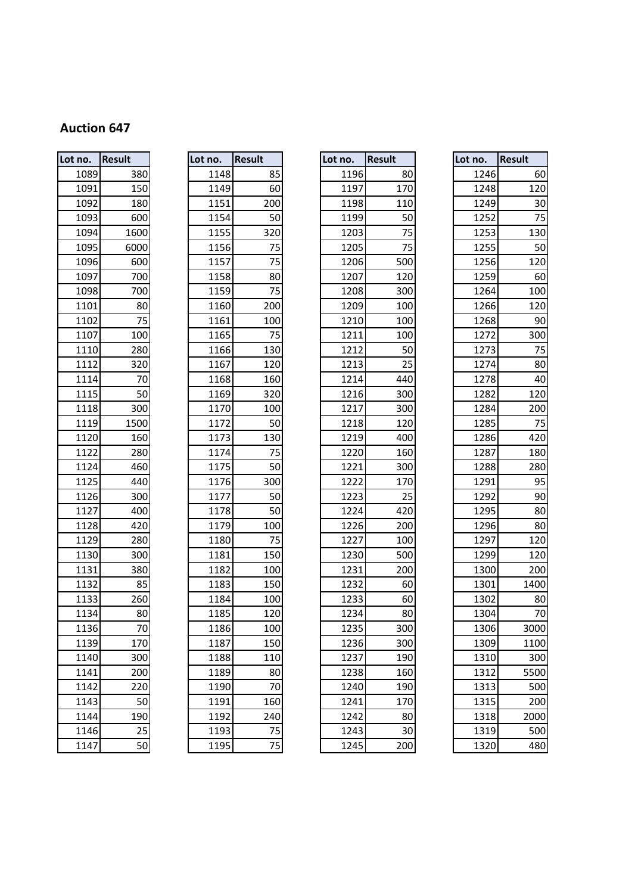| Lot no. | <b>Result</b> |
|---------|---------------|
| 1089    | 380           |
| 1091    | 150           |
| 1092    | 180           |
| 1093    | 600           |
| 1094    | 1600          |
| 1095    | 6000          |
| 1096    | 600           |
| 1097    | 700           |
| 1098    | 700           |
| 1101    | 80            |
| 1102    | 75            |
| 1107    | 100           |
| 1110    | 280           |
| 1112    | 320           |
| 1114    | 70            |
| 1115    | 50            |
| 1118    | 300           |
| 1119    | 1500          |
| 1120    | 160           |
| 1122    | 280           |
| 1124    | 460           |
| 1125    | 440           |
| 1126    | 300           |
| 1127    | 400           |
| 1128    | 420           |
| 1129    | 280           |
| 1130    | 300           |
| 1131    | 380           |
| 1132    | 85            |
| 1133    | 260           |
| 1134    | 80            |
| 1136    | 70            |
| 1139    | 170           |
| 1140    | 300           |
| 1141    | 200           |
| 1142    | 220           |
| 1143    | 50            |
| 1144    | 190           |
| 1146    | 25            |
| 1147    | 50            |

| Lot<br>no.               | <b>Result</b>   |
|--------------------------|-----------------|
| 1148                     | 85              |
| 1149                     | 60              |
| 1151                     | 200             |
| 1154                     | 50              |
| 1155                     | 320             |
| 1156                     | 75              |
| 1157                     | 75              |
| 1158                     | 80              |
| 1159                     | 75              |
| 1160                     | 200             |
| 1161                     | 100             |
| 1165                     | 75              |
| 1166                     | 130             |
| 1167                     | 120             |
| 1168                     | 160             |
| 1169                     | 320             |
| 1170                     | 100             |
| 1172                     | 50              |
| .<br>1173                | 130             |
| 1174                     | $\overline{75}$ |
| 1175                     | 50              |
| 1176                     | 300             |
| 1177                     | 50              |
| 1178                     | 50              |
| 1179                     | 100             |
| 1180                     | 75              |
| 1181                     | 150             |
| 1182                     | 100             |
| 1183                     | 150             |
| 1184                     | 100             |
| 1185                     | 120             |
| 1186                     | 100             |
| 1187                     | 150             |
| 1188                     | 110             |
| 1189                     | 80              |
| 1190                     | 70              |
| 1191                     | 160             |
| 1192                     | 240             |
| 1193<br>110 <sub>0</sub> | 75<br>7r        |
|                          |                 |

| Lot no. | <b>Result</b> | Lot no. | <b>Result</b> | Lot no. | <b>Result</b> | Lot no. | <b>Result</b> |
|---------|---------------|---------|---------------|---------|---------------|---------|---------------|
| 1089    | 380           | 1148    | 85            | 1196    | 80            | 1246    | 60            |
| 1091    | 150           | 1149    | 60            | 1197    | 170           | 1248    | 120           |
| 1092    | 180           | 1151    | 200           | 1198    | 110           | 1249    | 30            |
| 1093    | 600           | 1154    | 50            | 1199    | 50            | 1252    | 75            |
| 1094    | 1600          | 1155    | 320           | 1203    | 75            | 1253    | 130           |
| 1095    | 6000          | 1156    | 75            | 1205    | 75            | 1255    | 50            |
| 1096    | 600           | 1157    | 75            | 1206    | 500           | 1256    | 120           |
| 1097    | 700           | 1158    | 80            | 1207    | 120           | 1259    | <b>60</b>     |
| 1098    | 700           | 1159    | 75            | 1208    | 300           | 1264    | 100           |
| 1101    | 80            | 1160    | 200           | 1209    | 100           | 1266    | 120           |
| 1102    | 75            | 1161    | 100           | 1210    | 100           | 1268    | 90            |
| 1107    | 100           | 1165    | 75            | 1211    | 100           | 1272    | 300           |
| 1110    | 280           | 1166    | 130           | 1212    | 50            | 1273    | 75            |
| 1112    | 320           | 1167    | 120           | 1213    | 25            | 1274    | 80            |
| 1114    | 70            | 1168    | 160           | 1214    | 440           | 1278    | 40            |
| 1115    | 50            | 1169    | 320           | 1216    | 300           | 1282    | 120           |
| 1118    | 300           | 1170    | 100           | 1217    | 300           | 1284    | 200           |
| 1119    | 1500          | 1172    | 50            | 1218    | 120           | 1285    | 75            |
| 1120    | 160           | 1173    | 130           | 1219    | 400           | 1286    | 420           |
| 1122    | 280           | 1174    | 75            | 1220    | 160           | 1287    | 180           |
| 1124    | 460           | 1175    | 50            | 1221    | 300           | 1288    | 280           |
| 1125    | 440           | 1176    | 300           | 1222    | 170           | 1291    | 95            |
| 1126    | 300           | 1177    | 50            | 1223    | 25            | 1292    | 90            |
| 1127    | 400           | 1178    | 50            | 1224    | 420           | 1295    | 80            |
| 1128    | 420           | 1179    | 100           | 1226    | 200           | 1296    | 80            |
| 1129    | 280           | 1180    | 75            | 1227    | 100           | 1297    | 120           |
| 1130    | 300           | 1181    | 150           | 1230    | 500           | 1299    | 120           |
| 1131    | 380           | 1182    | 100           | 1231    | 200           | 1300    | 200           |
| 1132    | 85            | 1183    | 150           | 1232    | 60            | 1301    | 1400          |
| 1133    | 260           | 1184    | 100           | 1233    | 60            | 1302    | 80            |
| 1134    | 80            | 1185    | 120           | 1234    | 80            | 1304    | 70            |
| 1136    | 70            | 1186    | 100           | 1235    | 300           | 1306    | 3000          |
| 1139    | 170           | 1187    | 150           | 1236    | 300           | 1309    | 1100          |
| 1140    | 300           | 1188    | 110           | 1237    | 190           | 1310    | 300           |
| 1141    | 200           | 1189    | 80            | 1238    | 160           | 1312    | 5500          |
| 1142    | 220           | 1190    | 70            | 1240    | 190           | 1313    | 500           |
| 1143    | 50            | 1191    | 160           | 1241    | 170           | 1315    | 200           |
| 1144    | 190           | 1192    | 240           | 1242    | 80            | 1318    | 2000          |
| 1146    | 25            | 1193    | 75            | 1243    | 30            | 1319    | 500           |
| 1117    | 50            | 1195    | 75            | 1215    | 200           | 1320    | 480           |

| no.  | <b>Result</b> | Lot no. | <b>Result</b> | Lot no. | <b>Result</b> | Lot no. | <b>Result</b> |
|------|---------------|---------|---------------|---------|---------------|---------|---------------|
| 1089 | 380           | 1148    | 85            | 1196    | 80            | 1246    | 60            |
| 1091 | 150           | 1149    | 60            | 1197    | 170           | 1248    | 120           |
| 1092 | 180           | 1151    | 200           | 1198    | 110           | 1249    | 30            |
| 1093 | 600           | 1154    | 50            | 1199    | 50            | 1252    | 75            |
| 1094 | 1600          | 1155    | 320           | 1203    | 75            | 1253    | 130           |
| 1095 | 6000          | 1156    | 75            | 1205    | 75            | 1255    | 50            |
| 1096 | 600           | 1157    | 75            | 1206    | 500           | 1256    | 120           |
| 1097 | 700           | 1158    | 80            | 1207    | 120           | 1259    | 60            |
| 1098 | 700           | 1159    | 75            | 1208    | 300           | 1264    | 100           |
| 1101 | 80            | 1160    | 200           | 1209    | 100           | 1266    | 120           |
| 1102 | 75            | 1161    | 100           | 1210    | 100           | 1268    | 90            |
| 1107 | 100           | 1165    | 75            | 1211    | 100           | 1272    | 300           |
| 1110 | 280           | 1166    | 130           | 1212    | 50            | 1273    | 75            |
| 1112 | 320           | 1167    | 120           | 1213    | 25            | 1274    | 80            |
| 1114 | 70            | 1168    | 160           | 1214    | 440           | 1278    | 40            |
| 1115 | 50            | 1169    | 320           | 1216    | 300           | 1282    | 120           |
| 1118 | 300           | 1170    | 100           | 1217    | 300           | 1284    | 200           |
| 1119 | 1500          | 1172    | 50            | 1218    | 120           | 1285    | 75            |
| 1120 | 160           | 1173    | 130           | 1219    | 400           | 1286    | 420           |
| 1122 | 280           | 1174    | 75            | 1220    | 160           | 1287    | 180           |
| 1124 | 460           | 1175    | 50            | 1221    | 300           | 1288    | 280           |
| 1125 | 440           | 1176    | 300           | 1222    | 170           | 1291    | 95            |
| 1126 | 300           | 1177    | 50            | 1223    | 25            | 1292    | 90            |
| 1127 | 400           | 1178    | 50            | 1224    | 420           | 1295    | 80            |
| 1128 | 420           | 1179    | 100           | 1226    | 200           | 1296    | 80            |
| 1129 | 280           | 1180    | 75            | 1227    | 100           | 1297    | 120           |
| 1130 | 300           | 1181    | 150           | 1230    | 500           | 1299    | 120           |
| 1131 | 380           | 1182    | 100           | 1231    | 200           | 1300    | 200           |
| 1132 | 85            | 1183    | 150           | 1232    | 60            | 1301    | 1400          |
| 1133 | 260           | 1184    | 100           | 1233    | 60            | 1302    | 80            |
| 1134 | 80            | 1185    | 120           | 1234    | 80            | 1304    | 70            |
| 1136 | 70            | 1186    | 100           | 1235    | 300           | 1306    | 3000          |
| 1139 | 170           | 1187    | 150           | 1236    | 300           | 1309    | 1100          |
| 1140 | 300           | 1188    | 110           | 1237    | 190           | 1310    | 300           |
| 1141 | 200           | 1189    | 80            | 1238    | 160           | 1312    | 5500          |
| 1142 | 220           | 1190    | 70            | 1240    | 190           | 1313    | 500           |
| 1143 | 50            | 1191    | 160           | 1241    | 170           | 1315    | 200           |
| 1144 | 190           | 1192    | 240           | 1242    | 80            | 1318    | 2000          |
| 1146 | 25            | 1193    | 75            | 1243    | 30            | 1319    | 500           |
| 1147 | 50            | 1195    | 75            | 1245    | 200           | 1320    | 480           |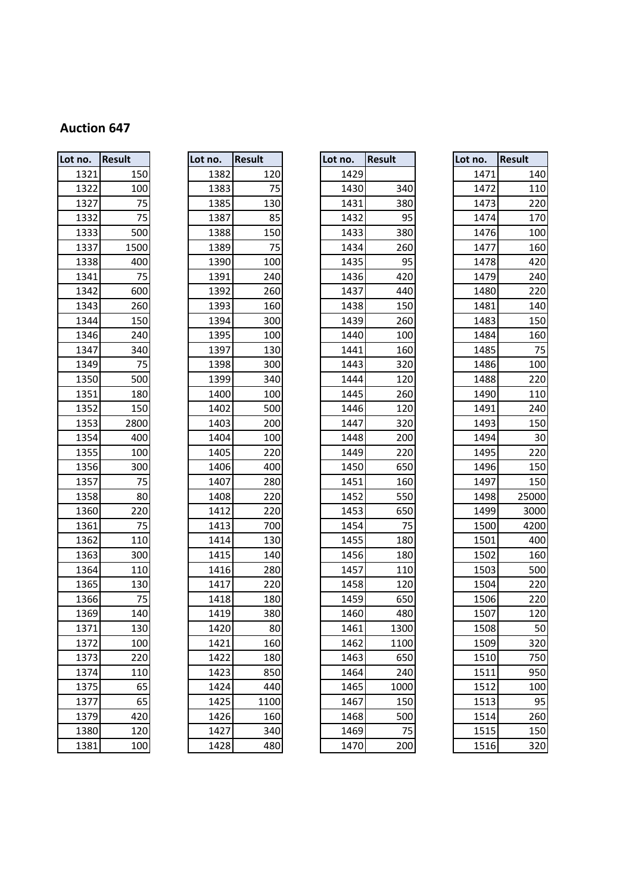| Lot no. | <b>Result</b> |
|---------|---------------|
| 1321    | 150           |
| 1322    | 100           |
| 1327    | 75            |
| 1332    | 75            |
| 1333    | 500           |
| 1337    | 1500          |
| 1338    | 400           |
| 1341    | 75            |
| 1342    | 600           |
| 1343    | 260           |
| 1344    | 150           |
| 1346    | 240           |
| 1347    | 340           |
| 1349    | 75            |
| 1350    | 500           |
| 1351    | 180           |
| 1352    | 150           |
| 1353    | 2800          |
| 1354    | 400           |
| 1355    | 100           |
| 1356    | 300           |
| 1357    | 75            |
| 1358    | 80            |
| 1360    | 220           |
| 1361    | 75            |
| 1362    | 110           |
| 1363    | 300           |
| 1364    | 110           |
| 1365    | 130           |
| 1366    | 75            |
| 1369    | 140           |
| 1371    | 130           |
| 1372    | 100           |
| 1373    | 220           |
| 1374    | 110           |
| 1375    | 65            |
| 1377    | 65            |
| 1379    | 420           |
| 1380    | 120           |
|         |               |
| 1381    | 100           |

| Lot<br>no. | Result |
|------------|--------|
| 1382       | 120    |
| 1383       | 75     |
| 1385       | 130    |
| 1387       | 85     |
| 1388       | 150    |
| 1389       | 75     |
| 1390       | 100    |
| 1391       | 240    |
| 1392       | 260    |
| 1393       | 160    |
| 1394       | 300    |
| 1395       | 100    |
| 1397       | 130    |
| 1398       | 300    |
| 1399       | 340    |
| 1400       | 100    |
| 1402       | 500    |
| 1403       | 200    |
| 1404       | 100    |
| 1405       | 220    |
| 1406       | 400    |
| 1407       | 280    |
| 1408       | 220    |
| 1412       | 220    |
| 1413       | 700    |
| 1414       | 130    |
| 1415       | 140    |
| 1416       | 280    |
| 1417       | 220    |
| 1418       | 180    |
| 1419       | 380    |
| 1420       | 80     |
| 1421       | 160    |
| 1422       | 180    |
| 1423       | 850    |
| 1424       | 440    |
| 1425       | 1100   |
| 1426       | 160    |
| 1427       | 340    |
| 1100       | 000    |

| Lot no. | <b>Result</b>    | Lot no. | <b>Result</b> | Lot no. | <b>Result</b> | Lot no. | <b>Result</b>   |
|---------|------------------|---------|---------------|---------|---------------|---------|-----------------|
| 1321    | 150              | 1382    | 120           | 1429    |               | 1471    | 140             |
| 1322    | 100              | 1383    | 75            | 1430    | 340           | 1472    | 110             |
| 1327    | 75               | 1385    | 130           | 1431    | 380           | 1473    | 220             |
| 1332    | 75               | 1387    | 85            | 1432    | 95            | 1474    | 17 <sub>C</sub> |
| 1333    | 500              | 1388    | 150           | 1433    | 380           | 1476    | 100             |
| 1337    | 1500             | 1389    | 75            | 1434    | 260           | 1477    | 160             |
| 1338    | 400              | 1390    | 100           | 1435    | 95            | 1478    | 420             |
| 1341    | 75               | 1391    | 240           | 1436    | 420           | 1479    | 240             |
| 1342    | 600              | 1392    | 260           | 1437    | 440           | 1480    | 220             |
| 1343    | 260              | 1393    | 160           | 1438    | 150           | 1481    | 140             |
| 1344    | 150              | 1394    | 300           | 1439    | 260           | 1483    | 150             |
| 1346    | 240              | 1395    | 100           | 1440    | 100           | 1484    | 160             |
| 1347    | 340              | 1397    | 130           | 1441    | 160           | 1485    | 75              |
| 1349    | 75               | 1398    | 300           | 1443    | 320           | 1486    | 100             |
| 1350    | 500              | 1399    | 340           | 1444    | 120           | 1488    | 220             |
| 1351    | 180              | 1400    | 100           | 1445    | 260           | 1490    | 110             |
| 1352    | 150              | 1402    | 500           | 1446    | 120           | 1491    | 240             |
| 1353    | 2800             | 1403    | 200           | 1447    | 320           | 1493    | 150             |
| 1354    | 400              | 1404    | 100           | 1448    | 200           | 1494    | 3 <sub>C</sub>  |
| 1355    | 100              | 1405    | 220           | 1449    | 220           | 1495    | 220             |
| 1356    | 300              | 1406    | 400           | 1450    | 650           | 1496    | 150             |
| 1357    | 75               | 1407    | 280           | 1451    | 160           | 1497    | 150             |
| 1358    | 80               | 1408    | 220           | 1452    | 550           | 1498    | 25000           |
| 1360    | 220              | 1412    | 220           | 1453    | 650           | 1499    | 3000            |
| 1361    | 75               | 1413    | 700           | 1454    | 75            | 1500    | 4200            |
| 1362    | 110              | 1414    | 130           | 1455    | 180           | 1501    | 400             |
| 1363    | 300              | 1415    | 140           | 1456    | 180           | 1502    | 160             |
| 1364    | 110              | 1416    | 280           | 1457    | 110           | 1503    | 500             |
| 1365    | 130              | 1417    | 220           | 1458    | 120           | 1504    | 220             |
| 1366    | 75               | 1418    | 180           | 1459    | 650           | 1506    | 220             |
| 1369    | 140              | 1419    | 380           | 1460    | 480           | 1507    | 120             |
| 1371    | 130              | 1420    | 80            | 1461    | 1300          | 1508    | 50              |
| 1372    | 100              | 1421    | 160           | 1462    | 1100          | 1509    | 320             |
| 1373    | 220              | 1422    | 180           | 1463    | 650           | 1510    | 750             |
| 1374    | 110              | 1423    | 850           | 1464    | 240           | 1511    | 950             |
| 1375    | 65               | 1424    | 440           | 1465    | 1000          | 1512    | 100             |
| 1377    | 65               | 1425    | 1100          | 1467    | 150           | 1513    | 95              |
| 1379    | 420              | 1426    | 160           | 1468    | 500           | 1514    | 260             |
| 1380    | 120              | 1427    | 340           | 1469    | 75            | 1515    | 150             |
| 1381    | 100 <sub>l</sub> | 1428    | 480           | 1470    | 200           | 1516    | 320             |

| no.  | <b>Result</b> | Lot no. | <b>Result</b> | Lot no. | <b>Result</b> | Lot no. | <b>Result</b> |
|------|---------------|---------|---------------|---------|---------------|---------|---------------|
| 1321 | 150           | 1382    | 120           | 1429    |               | 1471    | 140           |
| 1322 | 100           | 1383    | 75            | 1430    | 340           | 1472    | 110           |
| 1327 | 75            | 1385    | 130           | 1431    | 380           | 1473    | 220           |
| 1332 | 75            | 1387    | 85            | 1432    | 95            | 1474    | 170           |
| 1333 | 500           | 1388    | 150           | 1433    | 380           | 1476    | 100           |
| 1337 | 1500          | 1389    | 75            | 1434    | 260           | 1477    | 160           |
| 1338 | 400           | 1390    | 100           | 1435    | 95            | 1478    | 420           |
| 1341 | 75            | 1391    | 240           | 1436    | 420           | 1479    | 240           |
| 1342 | 600           | 1392    | 260           | 1437    | 440           | 1480    | 220           |
| 1343 | 260           | 1393    | 160           | 1438    | 150           | 1481    | 140           |
| 1344 | 150           | 1394    | 300           | 1439    | 260           | 1483    | 150           |
| 1346 | 240           | 1395    | 100           | 1440    | 100           | 1484    | 160           |
| 1347 | 340           | 1397    | 130           | 1441    | 160           | 1485    | 75            |
| 1349 | 75            | 1398    | 300           | 1443    | 320           | 1486    | 100           |
| 1350 | 500           | 1399    | 340           | 1444    | 120           | 1488    | 220           |
| 1351 | 180           | 1400    | 100           | 1445    | 260           | 1490    | 110           |
| 1352 | 150           | 1402    | 500           | 1446    | 120           | 1491    | 240           |
| 1353 | 2800          | 1403    | 200           | 1447    | 320           | 1493    | 150           |
| 1354 | 400           | 1404    | 100           | 1448    | 200           | 1494    | 30            |
| 1355 | 100           | 1405    | 220           | 1449    | 220           | 1495    | 220           |
| 1356 | 300           | 1406    | 400           | 1450    | 650           | 1496    | 150           |
| 1357 | 75            | 1407    | 280           | 1451    | 160           | 1497    | 150           |
| 1358 | 80            | 1408    | 220           | 1452    | 550           | 1498    | 25000         |
| 1360 | 220           | 1412    | 220           | 1453    | 650           | 1499    | 3000          |
| 1361 | 75            | 1413    | 700           | 1454    | 75            | 1500    | 4200          |
| 1362 | 110           | 1414    | 130           | 1455    | 180           | 1501    | 400           |
| 1363 | 300           | 1415    | 140           | 1456    | 180           | 1502    | 160           |
| 1364 | 110           | 1416    | 280           | 1457    | 110           | 1503    | 500           |
| 1365 | 130           | 1417    | 220           | 1458    | 120           | 1504    | 220           |
| 1366 | 75            | 1418    | 180           | 1459    | 650           | 1506    | 220           |
| 1369 | 140           | 1419    | 380           | 1460    | 480           | 1507    | 120           |
| 1371 | 130           | 1420    | 80            | 1461    | 1300          | 1508    | 50            |
| 1372 | 100           | 1421    | 160           | 1462    | 1100          | 1509    | 320           |
| 1373 | 220           | 1422    | 180           | 1463    | 650           | 1510    | 750           |
| 1374 | 110           | 1423    | 850           | 1464    | 240           | 1511    | 950           |
| 1375 | 65            | 1424    | 440           | 1465    | 1000          | 1512    | 100           |
| 1377 | 65            | 1425    | 1100          | 1467    | 150           | 1513    | 95            |
| 1379 | 420           | 1426    | 160           | 1468    | 500           | 1514    | 260           |
| 1380 | 120           | 1427    | 340           | 1469    | 75            | 1515    | 150           |
| 1381 | 100           | 1428    | 480           | 1470    | 200           | 1516    | 320           |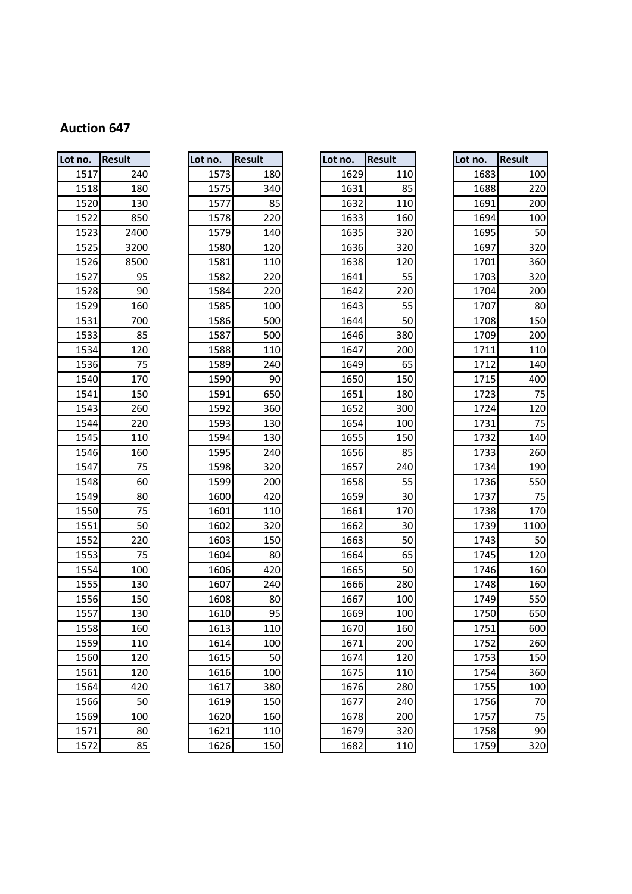| Lot no. | Result | Lot no. | <b>Result</b> | Lot no. | Result | Lot no. | <b>Result</b> |
|---------|--------|---------|---------------|---------|--------|---------|---------------|
| 1517    | 240    | 1573    | 180           | 1629    | 110    | 1683    |               |
| 1518    | 180    | 1575    | 340           | 1631    | 85     | 1688    |               |
| 1520    | 130    | 1577    | 85            | 1632    | 110    | 1691    |               |
| 1522    | 850    | 1578    | 220           | 1633    | 160    |         | 1694          |
| 1523    | 2400   | 1579    | 140           | 1635    | 320    |         | 1695          |
| 1525    | 3200   | 1580    | 120           | 1636    | 320    | 1697    |               |
| 1526    | 8500   | 1581    | 110           | 1638    | 120    | 1701    |               |
| 1527    | 95     | 1582    | 220           | 1641    | 55     | 1703    |               |
| 1528    | 90     | 1584    | 220           | 1642    | 220    | 1704    |               |
| 1529    | 160    | 1585    | 100           | 1643    | 55     | 1707    |               |
| 1531    | 700    | 1586    | 500           | 1644    | 50     |         | 1708          |
| 1533    | 85     | 1587    | 500           | 1646    | 380    | 1709    |               |
| 1534    | 120    | 1588    | 110           | 1647    | 200    | 1711    |               |
| 1536    | 75     | 1589    | 240           | 1649    | 65     | 1712    |               |
| 1540    | 170    | 1590    | 90            | 1650    | 150    | 1715    |               |
| 1541    | 150    | 1591    | 650           | 1651    | 180    | 1723    |               |
| 1543    | 260    | 1592    | 360           | 1652    | 300    | 1724    |               |
| 1544    | 220    | 1593    | 130           | 1654    | 100    | 1731    |               |
| 1545    | 110    | 1594    | 130           | 1655    | 150    | 1732    |               |
| 1546    | 160    | 1595    | 240           | 1656    | 85     |         | 1733          |
| 1547    | 75     | 1598    | 320           | 1657    | 240    |         | 1734          |
| 1548    | 60     | 1599    | 200           | 1658    | 55     | 1736    |               |
| 1549    | 80     | 1600    | 420           | 1659    | 30     | 1737    |               |
| 1550    | 75     | 1601    | 110           | 1661    | 170    |         | 1738          |
| 1551    | 50     | 1602    | 320           | 1662    | 30     | 1739    |               |
| 1552    | 220    | 1603    | 150           | 1663    | 50     | 1743    |               |
| 1553    | 75     | 1604    | 80            | 1664    | 65     | 1745    |               |
| 1554    | 100    | 1606    | 420           | 1665    | 50     | 1746    |               |
| 1555    | 130    | 1607    | 240           | 1666    | 280    | 1748    |               |
| 1556    | 150    | 1608    | 80            | 1667    | 100    |         | 1749          |
| 1557    | 130    | 1610    | 95            | 1669    | 100    |         | 1750          |
| 1558    | 160    | 1613    | 110           | 1670    | 160    |         | 1751          |
| 1559    | 110    | 1614    | 100           | 1671    | 200    |         | 1752          |
| 1560    | 120    | 1615    | 50            | 1674    | 120    |         | 1753          |
| 1561    | 120    | 1616    | 100           | 1675    | 110    |         | 1754          |
| 1564    | 420    | 1617    | 380           | 1676    | 280    |         | 1755          |
| 1566    | 50     | 1619    | 150           | 1677    | 240    |         | 1756          |
| 1569    | 100    | 1620    | 160           | 1678    | 200    | 1757    |               |
| 1571    | 80     | 1621    | 110           | 1679    | 320    |         | 1758          |
| 1572    | 85     | 1626    | 150           | 1682    | 110    |         | 1759          |

| Lot<br>no. | Result  |
|------------|---------|
| 1573       | 180     |
| 1575       | 340     |
| 1577       | 85      |
| 1578       | 220     |
| 1579       | 140     |
| 1580       | 120     |
| 1581       | 110     |
| 1582       | 220     |
| 1584       | 220     |
| 1585       | 100     |
| 1586       | 500     |
| 1587       | 500     |
| 1588       | 110     |
| 1589       | 240     |
| 1590       | 90      |
| 1591       | 650     |
| 1592       | 360     |
| 1593       | 130     |
| 1594       | 130     |
| 1595       | 240     |
| 1598       | 320     |
| 1599       | 200     |
| 1600       | 420     |
| 1601       | 110     |
| 1602       | 320     |
| 1603       | 150     |
| 1604       | 80      |
| 1606       | 420     |
| 1607       | 240     |
| 1608       | 80      |
| 1610       | 95      |
| 1613       | 110     |
| 1614       | 100     |
| 1615       | 50      |
| 1616       | 100     |
| 1617       | 380     |
| 1619       | 150     |
| 1620       | 160     |
| 1621       | 110     |
|            | $1 - i$ |

| no.  | <b>Result</b> | Lot no. | <b>Result</b> | Lot no. | <b>Result</b> | Lot no. | <b>Result</b> |
|------|---------------|---------|---------------|---------|---------------|---------|---------------|
| 1517 | 240           | 1573    | 180           | 1629    | 110           | 1683    | 100           |
| 1518 | 180           | 1575    | 340           | 1631    | 85            | 1688    | 220           |
| 1520 | 130           | 1577    | 85            | 1632    | 110           | 1691    | 200           |
| 1522 | 850           | 1578    | 220           | 1633    | 160           | 1694    | 100           |
| 1523 | 2400          | 1579    | 140           | 1635    | 320           | 1695    | 50            |
| 1525 | 3200          | 1580    | 120           | 1636    | 320           | 1697    | 320           |
| 1526 | 8500          | 1581    | 110           | 1638    | 120           | 1701    | 360           |
| 1527 | 95            | 1582    | 220           | 1641    | 55            | 1703    | 320           |
| 1528 | 90            | 1584    | 220           | 1642    | 220           | 1704    | 200           |
| 1529 | 160           | 1585    | 100           | 1643    | 55            | 1707    | 80            |
| 1531 | 700           | 1586    | 500           | 1644    | 50            | 1708    | 150           |
| 1533 | 85            | 1587    | 500           | 1646    | 380           | 1709    | 200           |
| 1534 | 120           | 1588    | 110           | 1647    | 200           | 1711    | 110           |
| 1536 | 75            | 1589    | 240           | 1649    | 65            | 1712    | 140           |
| 1540 | 170           | 1590    | 90            | 1650    | 150           | 1715    | 400           |
| 1541 | 150           | 1591    | 650           | 1651    | 180           | 1723    | 75            |
| 1543 | 260           | 1592    | 360           | 1652    | 300           | 1724    | 120           |
| 1544 | 220           | 1593    | 130           | 1654    | 100           | 1731    | 75            |
| 1545 | 110           | 1594    | 130           | 1655    | 150           | 1732    | 140           |
| 1546 | 160           | 1595    | 240           | 1656    | 85            | 1733    | 260           |
| 1547 | 75            | 1598    | 320           | 1657    | 240           | 1734    | 190           |
| 1548 | 60            | 1599    | 200           | 1658    | 55            | 1736    | 550           |
| 1549 | 80            | 1600    | 420           | 1659    | 30            | 1737    | 75            |
| 1550 | 75            | 1601    | 110           | 1661    | 170           | 1738    | 170           |
| 1551 | 50            | 1602    | 320           | 1662    | 30            | 1739    | 1100          |
| 1552 | 220           | 1603    | 150           | 1663    | 50            | 1743    | 50            |
| 1553 | 75            | 1604    | 80            | 1664    | 65            | 1745    | 120           |
| 1554 | 100           | 1606    | 420           | 1665    | 50            | 1746    | 160           |
| 1555 | 130           | 1607    | 240           | 1666    | 280           | 1748    | 160           |
| 1556 | 150           | 1608    | 80            | 1667    | 100           | 1749    | 550           |
| 1557 | 130           | 1610    | 95            | 1669    | 100           | 1750    | 650           |
| 1558 | 160           | 1613    | 110           | 1670    | 160           | 1751    | 600           |
| 1559 | 110           | 1614    | 100           | 1671    | 200           | 1752    | 260           |
| 1560 | 120           | 1615    | 50            | 1674    | 120           | 1753    | 150           |
| 1561 | 120           | 1616    | 100           | 1675    | 110           | 1754    | 360           |
| 1564 | 420           | 1617    | 380           | 1676    | 280           | 1755    | 100           |
| 1566 | 50            | 1619    | 150           | 1677    | 240           | 1756    | 70            |
| 1569 | 100           | 1620    | 160           | 1678    | 200           | 1757    | 75            |
| 1571 | 80            | 1621    | 110           | 1679    | 320           | 1758    | 90            |
| 1572 | 85            | 1626    | 150           | 1682    | 110           | 1759    | 320           |

| no.  | <b>Result</b> | Lot no. | <b>Result</b> | Lot no. | <b>Result</b> | Lot no. | <b>Result</b> |
|------|---------------|---------|---------------|---------|---------------|---------|---------------|
| 1517 | 240           | 1573    | 180           | 1629    | 110           | 1683    | 100           |
| 1518 | 180           | 1575    | 340           | 1631    | 85            | 1688    | 220           |
| 1520 | 130           | 1577    | 85            | 1632    | 110           | 1691    | 200           |
| 1522 | 850           | 1578    | 220           | 1633    | 160           | 1694    | 100           |
| 1523 | 2400          | 1579    | 140           | 1635    | 320           | 1695    | 50            |
| 1525 | 3200          | 1580    | 120           | 1636    | 320           | 1697    | 320           |
| 1526 | 8500          | 1581    | 110           | 1638    | 120           | 1701    | 360           |
| 1527 | 95            | 1582    | 220           | 1641    | 55            | 1703    | 320           |
| 1528 | 90            | 1584    | 220           | 1642    | 220           | 1704    | 200           |
| 1529 | 160           | 1585    | 100           | 1643    | 55            | 1707    | 80            |
| 1531 | 700           | 1586    | 500           | 1644    | 50            | 1708    | 150           |
| 1533 | 85            | 1587    | 500           | 1646    | 380           | 1709    | 200           |
| 1534 | 120           | 1588    | 110           | 1647    | 200           | 1711    | 110           |
| 1536 | 75            | 1589    | 240           | 1649    | 65            | 1712    | 140           |
| 1540 | 170           | 1590    | 90            | 1650    | 150           | 1715    | 400           |
| 1541 | 150           | 1591    | 650           | 1651    | 180           | 1723    | 75            |
| 1543 | 260           | 1592    | 360           | 1652    | 300           | 1724    | 120           |
| 1544 | 220           | 1593    | 130           | 1654    | 100           | 1731    | 75            |
| 1545 | 110           | 1594    | 130           | 1655    | 150           | 1732    | 140           |
| 1546 | 160           | 1595    | 240           | 1656    | 85            | 1733    | 260           |
| 1547 | 75            | 1598    | 320           | 1657    | 240           | 1734    | 190           |
| 1548 | 60            | 1599    | 200           | 1658    | 55            | 1736    | 550           |
| 1549 | 80            | 1600    | 420           | 1659    | 30            | 1737    | 75            |
| 1550 | 75            | 1601    | 110           | 1661    | 170           | 1738    | 170           |
| 1551 | 50            | 1602    | 320           | 1662    | 30            | 1739    | 1100          |
| 1552 | 220           | 1603    | 150           | 1663    | 50            | 1743    | 50            |
| 1553 | 75            | 1604    | 80            | 1664    | 65            | 1745    | 120           |
| 1554 | 100           | 1606    | 420           | 1665    | 50            | 1746    | 160           |
| 1555 | 130           | 1607    | 240           | 1666    | 280           | 1748    | 160           |
| 1556 | 150           | 1608    | 80            | 1667    | 100           | 1749    | 550           |
| 1557 | 130           | 1610    | 95            | 1669    | 100           | 1750    | 650           |
| 1558 | 160           | 1613    | 110           | 1670    | 160           | 1751    | 600           |
| 1559 | 110           | 1614    | 100           | 1671    | 200           | 1752    | 260           |
| 1560 | 120           | 1615    | 50            | 1674    | 120           | 1753    | 150           |
| 1561 | 120           | 1616    | 100           | 1675    | 110           | 1754    | 360           |
| 1564 | 420           | 1617    | 380           | 1676    | 280           | 1755    | 100           |
| 1566 | 50            | 1619    | 150           | 1677    | 240           | 1756    | 70            |
| 1569 | 100           | 1620    | 160           | 1678    | 200           | 1757    | 75            |
| 1571 | 80            | 1621    | 110           | 1679    | 320           | 1758    | 90            |
| 1572 | 85            | 1626    | 150           | 1682    | 110           | 1759    | 320           |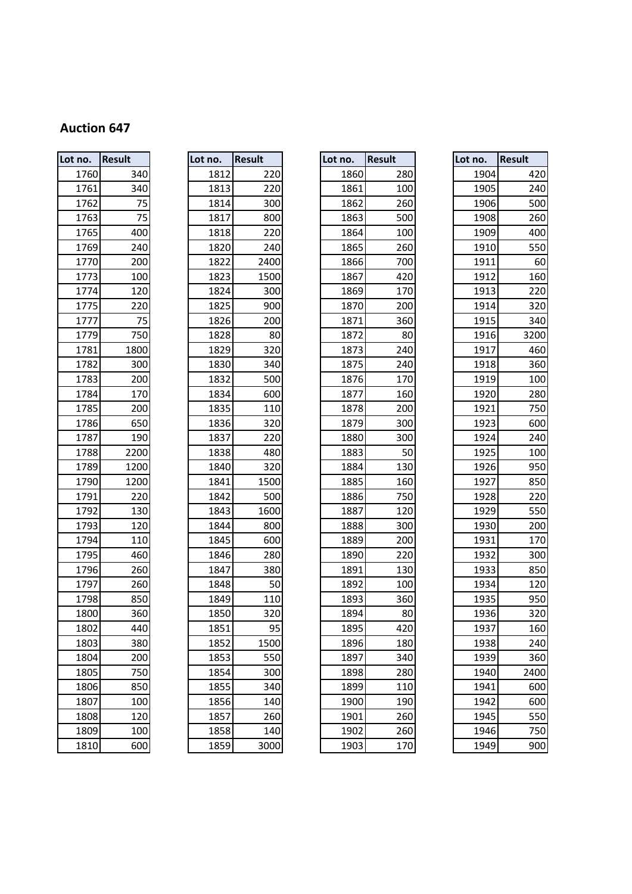| Lot no. | Result | Lot no. | Result | Lot no. | <b>Result</b> | Lot no. | <b>Result</b>           |
|---------|--------|---------|--------|---------|---------------|---------|-------------------------|
| 1760    | 340    | 1812    | 220    | 1860    | 280           | 1904    |                         |
| 1761    | 340    | 1813    | 220    | 1861    | 100           | 1905    |                         |
| 1762    | 75     | 1814    | 300    | 1862    | 260           | 1906    |                         |
| 1763    | 75     | 1817    | 800    | 1863    | 500           | 1908    |                         |
| 1765    | 400    | 1818    | 220    | 1864    | 100           | 1909    |                         |
| 1769    | 240    | 1820    | 240    | 1865    | 260           | 1910    |                         |
| 1770    | 200    | 1822    | 2400   | 1866    | 700           | 1911    |                         |
| 1773    | 100    | 1823    | 1500   | 1867    | 420           | 1912    |                         |
| 1774    | 120    | 1824    | 300    | 1869    | 170           | 1913    |                         |
| 1775    | 220    | 1825    | 900    | 1870    | 200           | 1914    |                         |
| 1777    | 75     | 1826    | 200    | 1871    | 360           | 1915    |                         |
| 1779    | 750    | 1828    | 80     | 1872    | 80            | 1916    | 3                       |
| 1781    | 1800   | 1829    | 320    | 1873    | 240           | 1917    |                         |
| 1782    | 300    | 1830    | 340    | 1875    | 240           | 1918    |                         |
| 1783    | 200    | 1832    | 500    | 1876    | 170           | 1919    |                         |
| 1784    | 170    | 1834    | 600    | 1877    | 160           | 1920    |                         |
| 1785    | 200    | 1835    | 110    | 1878    | 200           | 1921    |                         |
| 1786    | 650    | 1836    | 320    | 1879    | 300           | 1923    |                         |
| 1787    | 190    | 1837    | 220    | 1880    | 300           | 1924    |                         |
| 1788    | 2200   | 1838    | 480    | 1883    | 50            | 1925    |                         |
| 1789    | 1200   | 1840    | 320    | 1884    | 130           | 1926    |                         |
| 1790    | 1200   | 1841    | 1500   | 1885    | 160           | 1927    |                         |
| 1791    | 220    | 1842    | 500    | 1886    | 750           | 1928    |                         |
| 1792    | 130    | 1843    | 1600   | 1887    | 120           | 1929    |                         |
| 1793    | 120    | 1844    | 800    | 1888    | 300           | 1930    |                         |
| 1794    | 110    | 1845    | 600    | 1889    | 200           | 1931    |                         |
| 1795    | 460    | 1846    | 280    | 1890    | 220           | 1932    |                         |
| 1796    | 260    | 1847    | 380    | 1891    | 130           | 1933    |                         |
| 1797    | 260    | 1848    | 50     | 1892    | 100           | 1934    |                         |
| 1798    | 850    | 1849    | 110    | 1893    | 360           | 1935    |                         |
| 1800    | 360    | 1850    | 320    | 1894    | 80            | 1936    |                         |
| 1802    | 440    | 1851    | 95     | 1895    | 420           | 1937    |                         |
| 1803    | 380    | 1852    | 1500   | 1896    | 180           | 1938    |                         |
| 1804    | 200    | 1853    | 550    | 1897    | 340           | 1939    |                         |
| 1805    | 750    | 1854    | 300    | 1898    | 280           | 1940    | $\overline{\mathbf{c}}$ |
| 1806    | 850    | 1855    | 340    | 1899    | 110           | 1941    |                         |
| 1807    | 100    | 1856    | 140    | 1900    | 190           | 1942    |                         |
| 1808    | 120    | 1857    | 260    | 1901    | 260           | 1945    |                         |
| 1809    | 100    | 1858    | 140    | 1902    | 260           | 1946    |                         |
| 1810    | 600    | 1859    | 3000   | 1903    | 170           | 1949    |                         |

| no.  | <b>Result</b> | Lot no. | <b>Result</b> | Lot no. | <b>Result</b> | Lot no. | <b>Result</b> |
|------|---------------|---------|---------------|---------|---------------|---------|---------------|
| 1760 | 340           | 1812    | 220           | 1860    | 280           | 1904    | 420           |
| 1761 | 340           | 1813    | 220           | 1861    | 100           | 1905    | 240           |
| 1762 | 75            | 1814    | 300           | 1862    | 260           | 1906    | 500           |
| 1763 | 75            | 1817    | 800           | 1863    | 500           | 1908    | 260           |
| 1765 | 400           | 1818    | 220           | 1864    | 100           | 1909    | 400           |
| 1769 | 240           | 1820    | 240           | 1865    | 260           | 1910    | 550           |
| 1770 | 200           | 1822    | 2400          | 1866    | 700           | 1911    | 60            |
| 1773 | 100           | 1823    | 1500          | 1867    | 420           | 1912    | 160           |
| 1774 | 120           | 1824    | 300           | 1869    | 170           | 1913    | 220           |
| 1775 | 220           | 1825    | 900           | 1870    | 200           | 1914    | 320           |
| 1777 | 75            | 1826    | 200           | 1871    | 360           | 1915    | 340           |
| 1779 | 750           | 1828    | 80            | 1872    | 80            | 1916    | 3200          |
| 1781 | 1800          | 1829    | 320           | 1873    | 240           | 1917    | 460           |
| 1782 | 300           | 1830    | 340           | 1875    | 240           | 1918    | 360           |
| 1783 | 200           | 1832    | 500           | 1876    | 170           | 1919    | 100           |
| 1784 | 170           | 1834    | 600           | 1877    | 160           | 1920    | 280           |
| 1785 | 200           | 1835    | 110           | 1878    | 200           | 1921    | 750           |
| 1786 | 650           | 1836    | 320           | 1879    | 300           | 1923    | 600           |
| 1787 | 190           | 1837    | 220           | 1880    | 300           | 1924    | 240           |
| 1788 | 2200          | 1838    | 480           | 1883    | 50            | 1925    | 100           |
| 1789 | 1200          | 1840    | 320           | 1884    | 130           | 1926    | 950           |
| 1790 | 1200          | 1841    | 1500          | 1885    | 160           | 1927    | 850           |
| 1791 | 220           | 1842    | 500           | 1886    | 750           | 1928    | 220           |
| 1792 | 130           | 1843    | 1600          | 1887    | 120           | 1929    | 550           |
| 1793 | 120           | 1844    | 800           | 1888    | 300           | 1930    | 200           |
| 1794 | 110           | 1845    | 600           | 1889    | 200           | 1931    | 170           |
| 1795 | 460           | 1846    | 280           | 1890    | 220           | 1932    | 300           |
| 1796 | 260           | 1847    | 380           | 1891    | 130           | 1933    | 850           |
| 1797 | 260           | 1848    | 50            | 1892    | 100           | 1934    | 120           |
| 1798 | 850           | 1849    | 110           | 1893    | 360           | 1935    | 950           |
| 1800 | 360           | 1850    | 320           | 1894    | 80            | 1936    | 320           |
| 1802 | 440           | 1851    | 95            | 1895    | 420           | 1937    | 160           |
| 1803 | 380           | 1852    | 1500          | 1896    | 180           | 1938    | 240           |
| 1804 | 200           | 1853    | 550           | 1897    | 340           | 1939    | 360           |
| 1805 | 750           | 1854    | 300           | 1898    | 280           | 1940    | 2400          |
| 1806 | 850           | 1855    | 340           | 1899    | 110           | 1941    | 600           |
| 1807 | 100           | 1856    | 140           | 1900    | 190           | 1942    | 600           |
| 1808 | 120           | 1857    | 260           | 1901    | 260           | 1945    | 550           |
| 1809 | 100           | 1858    | 140           | 1902    | 260           | 1946    | 750           |
| 1010 | $\sim$        | 1000    | 2000          | 1001    | 170           | 1010    | 000           |

| ot no. | <b>Result</b> |
|--------|---------------|
| 1860   | 280           |
| 1861   | 100           |
| 1862   | 260           |
| 1863   | 500           |
| 1864   | 100           |
| 1865   | 260           |
| 1866   | 700           |
| 1867   | 420           |
| 1869   | 170           |
| 1870   | 200           |
| 1871   | 360           |
| 1872   | 80            |
| 1873   | 240           |
| 1875   | 240           |
| 1876   | 170           |
| 1877   | 160           |
| 1878   | 200           |
| 1879   | 300           |
| 1880   | 300           |
| 1883   | 50            |
| 1884   | 130           |
| 1885   | 160           |
| 1886   | 750           |
| 1887   | 120           |
| 1888   | 300           |
| 1889   | 200           |
| 1890   | 220           |
| 1891   | 130           |
| 1892   | 100           |
| 1893   | 360           |
| 1894   | 80            |
| 1895   | 420           |
| 1896   | 180           |
| 1897   | 340           |
| 1898   | 280           |
| 1899   | 110           |
| 1900   | 190           |
| 1901   | 260           |
| 1902   | 260           |
| 1903   | 17(           |

| no.  | <b>Result</b> | Lot no. | <b>Result</b> | Lot no. |      | <b>Result</b> | Lot no. | <b>Result</b> |
|------|---------------|---------|---------------|---------|------|---------------|---------|---------------|
| 1760 | 340           | 1812    | 220           |         | 1860 | 280           | 1904    | 420           |
| 1761 | 340           | 1813    | 220           |         | 1861 | 100           | 1905    | 240           |
| 1762 | 75            | 1814    | 300           |         | 1862 | 260           | 1906    | 500           |
| 1763 | 75            | 1817    | 800           |         | 1863 | 500           | 1908    | 260           |
| 1765 | 400           | 1818    | 220           |         | 1864 | 100           | 1909    | 400           |
| 1769 | 240           | 1820    | 240           |         | 1865 | 260           | 1910    | 550           |
| 1770 | 200           | 1822    | 2400          |         | 1866 | 700           | 1911    | 60            |
| 1773 | 100           | 1823    | 1500          |         | 1867 | 420           | 1912    | 160           |
| 1774 | 120           | 1824    | 300           |         | 1869 | 170           | 1913    | 220           |
| 1775 | 220           | 1825    | 900           |         | 1870 | 200           | 1914    | 320           |
| 1777 | 75            | 1826    | 200           |         | 1871 | 360           | 1915    | 340           |
| 1779 | 750           | 1828    | 80            |         | 1872 | 80            | 1916    | 3200          |
| 1781 | 1800          | 1829    | 320           |         | 1873 | 240           | 1917    | 460           |
| 1782 | 300           | 1830    | 340           |         | 1875 | 240           | 1918    | 360           |
| 1783 | 200           | 1832    | 500           |         | 1876 | 170           | 1919    | 100           |
| 1784 | 170           | 1834    | 600           |         | 1877 | 160           | 1920    | 280           |
| 1785 | 200           | 1835    | 110           |         | 1878 | 200           | 1921    | 750           |
| 1786 | 650           | 1836    | 320           |         | 1879 | 300           | 1923    | 600           |
| 1787 | 190           | 1837    | 220           |         | 1880 | 300           | 1924    | 240           |
| 1788 | 2200          | 1838    | 480           |         | 1883 | 50            | 1925    | 100           |
| 1789 | 1200          | 1840    | 320           |         | 1884 | 130           | 1926    | 950           |
| 1790 | 1200          | 1841    | 1500          |         | 1885 | 160           | 1927    | 850           |
| 1791 | 220           | 1842    | 500           |         | 1886 | 750           | 1928    | 220           |
| 1792 | 130           | 1843    | 1600          |         | 1887 | 120           | 1929    | 550           |
| 1793 | 120           | 1844    | 800           |         | 1888 | 300           | 1930    | 200           |
| 1794 | 110           | 1845    | 600           |         | 1889 | 200           | 1931    | 170           |
| 1795 | 460           | 1846    | 280           |         | 1890 | 220           | 1932    | 300           |
| 1796 | 260           | 1847    | 380           |         | 1891 | 130           | 1933    | 850           |
| 1797 | 260           | 1848    | 50            |         | 1892 | 100           | 1934    | 120           |
| 1798 | 850           | 1849    | 110           |         | 1893 | 360           | 1935    | 950           |
| 1800 | 360           | 1850    | 320           |         | 1894 | 80            | 1936    | 320           |
| 1802 | 440           | 1851    | 95            |         | 1895 | 420           | 1937    | 160           |
| 1803 | 380           | 1852    | 1500          |         | 1896 | 180           | 1938    | 240           |
| 1804 | 200           | 1853    | 550           |         | 1897 | 340           | 1939    | 360           |
| 1805 | 750           | 1854    | 300           |         | 1898 | 280           | 1940    | 2400          |
| 1806 | 850           | 1855    | 340           |         | 1899 | 110           | 1941    | 600           |
| 1807 | 100           | 1856    | 140           |         | 1900 | 190           | 1942    | 600           |
| 1808 | 120           | 1857    | 260           |         | 1901 | 260           | 1945    | 550           |
| 1809 | 100           | 1858    | 140           |         | 1902 | 260           | 1946    | 750           |
| 1810 | 600           | 1859    | 3000          |         | 1903 | 170           | 1949    | 900           |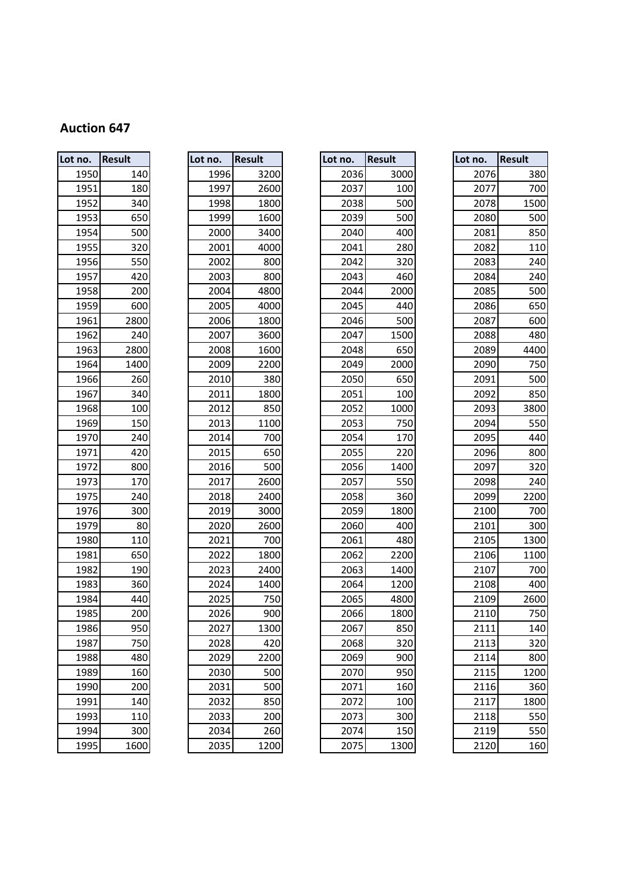| Lot no. | <b>Result</b> |
|---------|---------------|
| 1950    | 140           |
| 1951    | 180           |
| 1952    | 340           |
| 1953    | 650           |
| 1954    | 500           |
| 1955    | 320           |
| 1956    | 550           |
| 1957    | 420           |
| 1958    | 200           |
| 1959    | 600           |
| 1961    | 2800          |
| 1962    | 240           |
| 1963    | 2800          |
| 1964    | 1400          |
| 1966    | 260           |
| 1967    | 340           |
| 1968    | 100           |
| 1969    | 150           |
| 1970    | 240           |
| 1971    | 420           |
| 1972    | 800           |
| 1973    | 170           |
| 1975    | 240           |
| 1976    | 300           |
| 1979    | 80            |
| 1980    | 110           |
| 1981    | 650           |
| 1982    | 190           |
| 1983    | 360           |
| 1984    | 440           |
| 1985    | 200           |
| 1986    | 950           |
| 1987    | 750           |
| 1988    | 480           |
| 1989    | 160           |
| 1990    | 200           |
| 1991    | 140           |
| 1993    | 110           |
| 1994    | 300           |
| 1995    | 1600          |

| Lot no. | Result | Lot no. | <b>Result</b> | Lot no. | <b>Result</b> | Lot no.       | <b>Result</b>   |
|---------|--------|---------|---------------|---------|---------------|---------------|-----------------|
| 1950    | 140    | 1996    | 3200          | 2036    | 3000          | 2076          | <b>380</b>      |
| 1951    | 180    | 1997    | 2600          | 2037    | 100           | 2077          | 700             |
| 1952    | 340    | 1998    | 1800          | 2038    | 500           | 2078          | 1500            |
| 1953    | 650    | 1999    | 1600          | 2039    | 500           | 2080          | 500             |
| 1954    | 500    | 2000    | 3400          | 2040    | 400           | 2081          | 85C             |
| 1955    | 320    | 2001    | 4000          | 2041    | 280           | 2082          | 110             |
| 1956    | 550    | 2002    | 800           | 2042    | 320           | 2083          | 240             |
| 1957    | 420    | 2003    | 800           | 2043    | 460           | 2084          | 240             |
| 1958    | 200    | 2004    | 4800          | 2044    | 2000          | 2085          | 500             |
| 1959    | 600    | 2005    | 4000          | 2045    | 440           | 2086          | 650             |
| 1961    | 2800   | 2006    | 1800          | 2046    | 500           | 2087          | 60 <sub>C</sub> |
| 1962    | 240    | 2007    | 3600          | 2047    | 1500          | 2088          | 48C             |
| 1963    | 2800   | 2008    | 1600          | 2048    | 650           | 2089          | 4400            |
| 1964    | 1400   | 2009    | 2200          | 2049    | 2000          | 2090          | 750             |
| 1966    | 260    | 2010    | 380           | 2050    | 650           | 2091          | 500             |
| 1967    | 340    | 2011    | 1800          | 2051    | 100           | 2092          | 850             |
| 1968    | 100    | 2012    | 850           | 2052    | 1000          | 2093          | 380C            |
| 1969    | 150    | 2013    | 1100          | 2053    | 750           | 2094          | 550             |
| 1970    | 240    | 2014    | 700           | 2054    | 170           | 2095          | 440             |
| 1971    | 420    | 2015    | 650           | 2055    | 220           | 2096          | 800             |
| 1972    | 800    | 2016    | 500           | 2056    | 1400          | 2097          | 320             |
| 1973    | 170    | 2017    | 2600          | 2057    | 550           | 2098          | 240             |
| 1975    | 240    | 2018    | 2400          | 2058    | 360           | 2099          | 2200            |
| 1976    | 300    | 2019    | 3000          | 2059    | 1800          | 2100          | 700             |
| 1979    | 80     | 2020    | 2600          | 2060    | 400           | 2101          | 300             |
| 1980    | 110    | 2021    | 700           | 2061    | 480           | 2105          | 1300            |
| 1981    | 650    | 2022    | 1800          | 2062    | 2200          | 2106          | 1100            |
| 1982    | 190    | 2023    | 2400          | 2063    | 1400          | 2107          | 700             |
| 1983    | 360    | 2024    | 1400          | 2064    | 1200          | 2108          | 40 <sub>C</sub> |
| 1984    | 440    | 2025    | 750           | 2065    | 4800          | 2109          | 2600            |
| 1985    | 200    | 2026    | 900           | 2066    | 1800          | 2110          | 750             |
| 1986    | 950    | 2027    | 1300          | 2067    | 850           | 2111          | 140             |
| 1987    | 750    | 2028    | 420           | 2068    | 320           | 2113          | 320             |
| 1988    | 480    | 2029    | 2200          | 2069    | 900           | 2114          | 800             |
| 1989    | 160    | 2030    | 500           | 2070    | 950           | 2115          | 1200            |
| 1990    | 200    | 2031    | 500           | 2071    | 160           | 2116          | 360             |
| 1991    | 140    | 2032    | 850           | 2072    | 100           | 2117          | 1800            |
| 1993    | 110    | 2033    | 200           | 2073    | 300           | 2118          | 550             |
| 1994    | 300    | 2034    | 260           | 2074    | 150           | 2119          | 550             |
| 0.005   | 1000   | 2025    | 1222          | $207$   | 1222          | $\frac{1}{2}$ | $\sim$          |

| ot no. | <b>Result</b> |
|--------|---------------|
| 2036   | 3000          |
| 2037   | 100           |
| 2038   | 500           |
| 2039   | 500           |
| 2040   | 400           |
| 2041   | 280           |
| 2042   | 320           |
| 2043   | 460           |
| 2044   | 2000          |
| 2045   | 440           |
| 2046   | 500           |
| 2047   | 1500          |
| 2048   | 650           |
| 2049   | 2000          |
| 2050   | 650           |
| 2051   | 100           |
| 2052   | 1000          |
| 2053   | 750           |
| 2054   | 170           |
| 2055   | 220           |
| 2056   | 1400          |
| 2057   | 550           |
| 2058   | 360           |
| 2059   | 1800          |
| 2060   | 400           |
| 2061   | 480           |
| 2062   | 2200          |
| 2063   | 1400          |
| 2064   | 1200          |
| 2065   | 4800          |
| 2066   | 1800          |
| 2067   | 850           |
| 2068   | 320           |
| 2069   | 900           |
| 2070   | 950           |
| 2071   | 160           |
| 2072   | 100           |
| 2073   | 300           |
| 2074   | 150           |
| 2075   | 1300          |

| no.  | <b>Result</b> | Lot no. | <b>Result</b> | Lot no. | <b>Result</b> | Lot no. | <b>Result</b> |
|------|---------------|---------|---------------|---------|---------------|---------|---------------|
| 1950 | 140           | 1996    | 3200          | 2036    | 3000          | 2076    | 380           |
| 1951 | 180           | 1997    | 2600          | 2037    | 100           | 2077    | 700           |
| 1952 | 340           | 1998    | 1800          | 2038    | 500           | 2078    | 1500          |
| 1953 | 650           | 1999    | 1600          | 2039    | 500           | 2080    | 500           |
| 1954 | 500           | 2000    | 3400          | 2040    | 400           | 2081    | 850           |
| 1955 | 320           | 2001    | 4000          | 2041    | 280           | 2082    | 110           |
| 1956 | 550           | 2002    | 800           | 2042    | 320           | 2083    | 240           |
| 1957 | 420           | 2003    | 800           | 2043    | 460           | 2084    | 240           |
| 1958 | 200           | 2004    | 4800          | 2044    | 2000          | 2085    | 500           |
| 1959 | 600           | 2005    | 4000          | 2045    | 440           | 2086    | 650           |
| 1961 | 2800          | 2006    | 1800          | 2046    | 500           | 2087    | 600           |
| 1962 | 240           | 2007    | 3600          | 2047    | 1500          | 2088    | 480           |
| 1963 | 2800          | 2008    | 1600          | 2048    | 650           | 2089    | 4400          |
| 1964 | 1400          | 2009    | 2200          | 2049    | 2000          | 2090    | 750           |
| 1966 | 260           | 2010    | 380           | 2050    | 650           | 2091    | 500           |
| 1967 | 340           | 2011    | 1800          | 2051    | 100           | 2092    | 850           |
| 1968 | 100           | 2012    | 850           | 2052    | 1000          | 2093    | 3800          |
| 1969 | 150           | 2013    | 1100          | 2053    | 750           | 2094    | 550           |
| 1970 | 240           | 2014    | 700           | 2054    | 170           | 2095    | 440           |
| 1971 | 420           | 2015    | 650           | 2055    | 220           | 2096    | 800           |
| 1972 | 800           | 2016    | 500           | 2056    | 1400          | 2097    | 320           |
| 1973 | 170           | 2017    | 2600          | 2057    | 550           | 2098    | 240           |
| 1975 | 240           | 2018    | 2400          | 2058    | 360           | 2099    | 2200          |
| 1976 | 300           | 2019    | 3000          | 2059    | 1800          | 2100    | 700           |
| 1979 | 80            | 2020    | 2600          | 2060    | 400           | 2101    | 300           |
| 1980 | 110           | 2021    | 700           | 2061    | 480           | 2105    | 1300          |
| 1981 | 650           | 2022    | 1800          | 2062    | 2200          | 2106    | 1100          |
| 1982 | 190           | 2023    | 2400          | 2063    | 1400          | 2107    | 700           |
| 1983 | 360           | 2024    | 1400          | 2064    | 1200          | 2108    | 400           |
| 1984 | 440           | 2025    | 750           | 2065    | 4800          | 2109    | 2600          |
| 1985 | 200           | 2026    | 900           | 2066    | 1800          | 2110    | 750           |
| 1986 | 950           | 2027    | 1300          | 2067    | 850           | 2111    | 140           |
| 1987 | 750           | 2028    | 420           | 2068    | 320           | 2113    | 320           |
| 1988 | 480           | 2029    | 2200          | 2069    | 900           | 2114    | 800           |
| 1989 | 160           | 2030    | 500           | 2070    | 950           | 2115    | 1200          |
| 1990 | 200           | 2031    | 500           | 2071    | 160           | 2116    | 360           |
| 1991 | 140           | 2032    | 850           | 2072    | 100           | 2117    | 1800          |
| 1993 | 110           | 2033    | 200           | 2073    | 300           | 2118    | 550           |
| 1994 | 300           | 2034    | 260           | 2074    | 150           | 2119    | 550           |
| 1995 | 1600          | 2035    | 1200          | 2075    | 1300          | 2120    | 160           |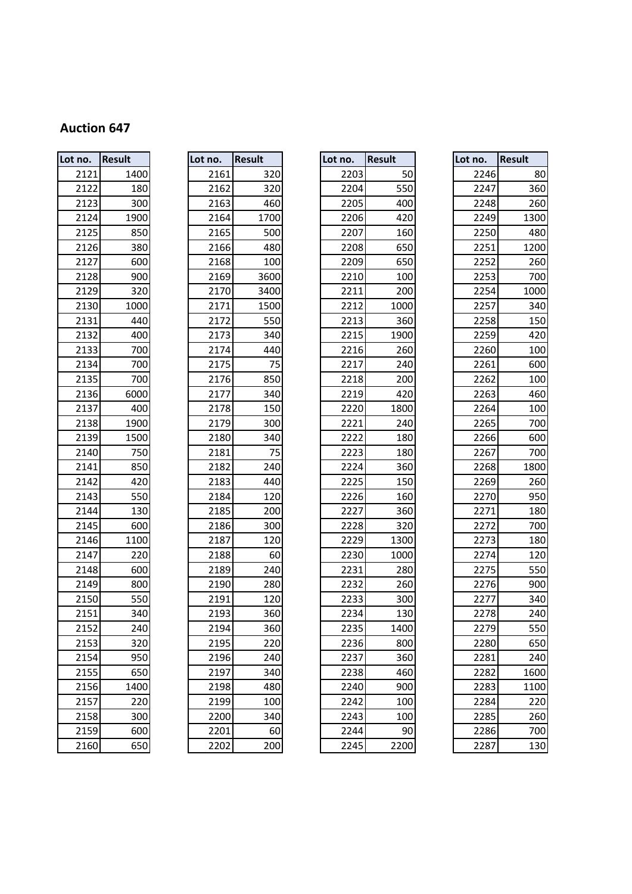| Lot no. | Result | Lot no. | Result | Lot no. | <b>Result</b> |
|---------|--------|---------|--------|---------|---------------|
| 2121    | 1400   | 2161    | 320    | 2203    | 50            |
| 2122    | 180    | 2162    | 320    | 2204    | 550           |
| 2123    | 300    | 2163    | 460    | 2205    | 400           |
| 2124    | 1900   | 2164    | 1700   | 2206    | 420           |
| 2125    | 850    | 2165    | 500    | 2207    | 160           |
| 2126    | 380    | 2166    | 480    | 2208    | 650           |
| 2127    | 600    | 2168    | 100    | 2209    | 650           |
| 2128    | 900    | 2169    | 3600   | 2210    | 100           |
| 2129    | 320    | 2170    | 3400   | 2211    | 200           |
| 2130    | 1000   | 2171    | 1500   | 2212    | 1000          |
| 2131    | 440    | 2172    | 550    | 2213    | 360           |
| 2132    | 400    | 2173    | 340    | 2215    | 1900          |
| 2133    | 700    | 2174    | 440    | 2216    | 260           |
| 2134    | 700    | 2175    | 75     | 2217    | 240           |
| 2135    | 700    | 2176    | 850    | 2218    | 200           |
| 2136    | 6000   | 2177    | 340    | 2219    | 420           |
| 2137    | 400    | 2178    | 150    | 2220    | 1800          |
| 2138    | 1900   | 2179    | 300    | 2221    | 240           |
| 2139    | 1500   | 2180    | 340    | 2222    | 180           |
| 2140    | 750    | 2181    | 75     | 2223    | 180           |
| 2141    | 850    | 2182    | 240    | 2224    | 360           |
| 2142    | 420    | 2183    | 440    | 2225    | 150           |
| 2143    | 550    | 2184    | 120    | 2226    | 160           |
| 2144    | 130    | 2185    | 200    | 2227    | 360           |
| 2145    | 600    | 2186    | 300    | 2228    | 320           |
| 2146    | 1100   | 2187    | 120    | 2229    | 1300          |
| 2147    | 220    | 2188    | 60     | 2230    | 1000          |
| 2148    | 600    | 2189    | 240    | 2231    | 280           |
| 2149    | 800    | 2190    | 280    | 2232    | 260           |
| 2150    | 550    | 2191    | 120    | 2233    | 300           |
| 2151    | 340    | 2193    | 360    | 2234    | 130           |
| 2152    | 240    | 2194    | 360    | 2235    | 1400          |
| 2153    | 320    | 2195    | 220    | 2236    | 800           |
| 2154    | 950    | 2196    | 240    | 2237    | 360           |
| 2155    | 650    | 2197    | 340    | 2238    | 460           |
| 2156    | 1400   | 2198    | 480    | 2240    | 900           |
| 2157    | 220    | 2199    | 100    | 2242    | 100           |
| 2158    | 300    | 2200    | 340    | 2243    | 100           |
| 2159    | 600    | 2201    | 60     | 2244    | 90            |
| 2160    | 650    | 2202    | 200    | 2245    | 2200          |

| no.      | <b>Result</b> | Lot no. | <b>Result</b> | Lot no. | <b>Result</b> | Lot no. | <b>Result</b> |
|----------|---------------|---------|---------------|---------|---------------|---------|---------------|
| 2121     | 1400          | 2161    | 320           | 2203    | 50            | 2246    | 80            |
| 2122     | 180           | 2162    | 320           | 2204    | 550           | 2247    | 360           |
| 2123     | 300           | 2163    | 460           | 2205    | 400           | 2248    | 260           |
| 2124     | 1900          | 2164    | 1700          | 2206    | 420           | 2249    | 1300          |
| 2125     | 850           | 2165    | 500           | 2207    | 160           | 2250    | 480           |
| 2126     | 380           | 2166    | 480           | 2208    | 650           | 2251    | 1200          |
| 2127     | 600           | 2168    | 100           | 2209    | 650           | 2252    | 260           |
| 2128     | 900           | 2169    | 3600          | 2210    | 100           | 2253    | 700           |
| 2129     | 320           | 2170    | 3400          | 2211    | 200           | 2254    | 1000          |
| 2130     | 1000          | 2171    | 1500          | 2212    | 1000          | 2257    | 340           |
| 2131     | 440           | 2172    | 550           | 2213    | 360           | 2258    | 150           |
| 2132     | 400           | 2173    | 340           | 2215    | 1900          | 2259    | 420           |
| 2133     | 700           | 2174    | 440           | 2216    | 260           | 2260    | 100           |
| 2134     | 700           | 2175    | 75            | 2217    | 240           | 2261    | 600           |
| 2135     | 700           | 2176    | 850           | 2218    | 200           | 2262    | 100           |
| 2136     | 6000          | 2177    | 340           | 2219    | 420           | 2263    | 460           |
| 2137     | 400           | 2178    | 150           | 2220    | 1800          | 2264    | 100           |
| 2138     | 1900          | 2179    | 300           | 2221    | 240           | 2265    | 700           |
| 2139     | 1500          | 2180    | 340           | 2222    | 180           | 2266    | 600           |
| 2140     | 750           | 2181    | 75            | 2223    | 180           | 2267    | 700           |
| 2141     | 850           | 2182    | 240           | 2224    | 360           | 2268    | 1800          |
| 2142     | 420           | 2183    | 440           | 2225    | 150           | 2269    | 260           |
| 2143     | 550           | 2184    | 120           | 2226    | 160           | 2270    | 950           |
| 2144     | 130           | 2185    | 200           | 2227    | 360           | 2271    | 180           |
| 2145     | 600           | 2186    | 300           | 2228    | 320           | 2272    | 700           |
| 2146     | 1100          | 2187    | 120           | 2229    | 1300          | 2273    | 180           |
| 2147     | 220           | 2188    | 60            | 2230    | 1000          | 2274    | 120           |
| 2148     | 600           | 2189    | 240           | 2231    | 280           | 2275    | 550           |
| 2149     | 800           | 2190    | 280           | 2232    | 260           | 2276    | 900           |
| 2150     | 550           | 2191    | 120           | 2233    | 300           | 2277    | 340           |
| 2151     | 340           | 2193    | 360           | 2234    | 130           | 2278    | 240           |
| 2152     | 240           | 2194    | 360           | 2235    | 1400          | 2279    | 550           |
| 2153     | 320           | 2195    | 220           | 2236    | 800           | 2280    | 650           |
| 2154     | 950           | 2196    | 240           | 2237    | 360           | 2281    | 240           |
| 2155     | 650           | 2197    | 340           | 2238    | 460           | 2282    | 1600          |
| 2156     | 1400          | 2198    | 480           | 2240    | 900           | 2283    | 1100          |
| 2157     | 220           | 2199    | 100           | 2242    | 100           | 2284    | 220           |
| 2158     | 300           | 2200    | 340           | 2243    | 100           | 2285    | 260           |
| 2159     | 600           | 2201    | 60            | 2244    | 90            | 2286    | 700           |
| $21$ col | CD            | aaoal   | 200           | $2225$  | 2200          | 2207    | 120           |

| ot<br>no. | Result |
|-----------|--------|
| 2203      | 50     |
| 2204      | 550    |
| 2205      | 400    |
| 2206      | 420    |
| 2207      | 160    |
| 2208      | 650    |
| 2209      | 650    |
| 2210      | 100    |
| 2211      | 200    |
| 2212      | 1000   |
| 2213      | 360    |
| 2215      | 1900   |
| 2216      | 260    |
| 2217      | 240    |
| 2218      | 200    |
| 2219      | 420    |
| 2220      | 1800   |
| 2221      | 240    |
| 2222      | 180    |
| 2223      | 180    |
| 2224      | 360    |
| 2225      | 150    |
| 2226      | 160    |
| 2227      | 360    |
| 2228      | 320    |
| 2229      | 1300   |
| 2230      | 1000   |
| 2231      | 280    |
| 2232      | 260    |
| 2233      | 300    |
| 2234      | 130    |
| 2235      | 140    |
| 2236      | 800    |
| 2237      | 360    |
| 2238      | 460    |
| 2240      | 900    |
| 2242      | 100    |
| 2243      | 100    |
| 2244      | 90     |
| 2245      | 2200   |

| no.  | <b>Result</b> | Lot no. | <b>Result</b> | Lot no. | <b>Result</b> | Lot no. | <b>Result</b> |
|------|---------------|---------|---------------|---------|---------------|---------|---------------|
| 2121 | 1400          | 2161    | 320           | 2203    | 50            | 2246    | 80            |
| 2122 | 180           | 2162    | 320           | 2204    | 550           | 2247    | 360           |
| 2123 | 300           | 2163    | 460           | 2205    | 400           | 2248    | 260           |
| 2124 | 1900          | 2164    | 1700          | 2206    | 420           | 2249    | 1300          |
| 2125 | 850           | 2165    | 500           | 2207    | 160           | 2250    | 480           |
| 2126 | 380           | 2166    | 480           | 2208    | 650           | 2251    | 1200          |
| 2127 | 600           | 2168    | 100           | 2209    | 650           | 2252    | 260           |
| 2128 | 900           | 2169    | 3600          | 2210    | 100           | 2253    | 700           |
| 2129 | 320           | 2170    | 3400          | 2211    | 200           | 2254    | 1000          |
| 2130 | 1000          | 2171    | 1500          | 2212    | 1000          | 2257    | 340           |
| 2131 | 440           | 2172    | 550           | 2213    | 360           | 2258    | 150           |
| 2132 | 400           | 2173    | 340           | 2215    | 1900          | 2259    | 420           |
| 2133 | 700           | 2174    | 440           | 2216    | 260           | 2260    | 100           |
| 2134 | 700           | 2175    | 75            | 2217    | 240           | 2261    | 600           |
| 2135 | 700           | 2176    | 850           | 2218    | 200           | 2262    | 100           |
| 2136 | 6000          | 2177    | 340           | 2219    | 420           | 2263    | 460           |
| 2137 | 400           | 2178    | 150           | 2220    | 1800          | 2264    | 100           |
| 2138 | 1900          | 2179    | 300           | 2221    | 240           | 2265    | 700           |
| 2139 | 1500          | 2180    | 340           | 2222    | 180           | 2266    | 600           |
| 2140 | 750           | 2181    | 75            | 2223    | 180           | 2267    | 700           |
| 2141 | 850           | 2182    | 240           | 2224    | 360           | 2268    | 1800          |
| 2142 | 420           | 2183    | 440           | 2225    | 150           | 2269    | 260           |
| 2143 | 550           | 2184    | 120           | 2226    | 160           | 2270    | 950           |
| 2144 | 130           | 2185    | 200           | 2227    | 360           | 2271    | 180           |
| 2145 | 600           | 2186    | 300           | 2228    | 320           | 2272    | 700           |
| 2146 | 1100          | 2187    | 120           | 2229    | 1300          | 2273    | 180           |
| 2147 | 220           | 2188    | 60            | 2230    | 1000          | 2274    | 120           |
| 2148 | 600           | 2189    | 240           | 2231    | 280           | 2275    | 550           |
| 2149 | 800           | 2190    | 280           | 2232    | 260           | 2276    | 900           |
| 2150 | 550           | 2191    | 120           | 2233    | 300           | 2277    | 340           |
| 2151 | 340           | 2193    | 360           | 2234    | 130           | 2278    | 240           |
| 2152 | 240           | 2194    | 360           | 2235    | 1400          | 2279    | 550           |
| 2153 | 320           | 2195    | 220           | 2236    | 800           | 2280    | 650           |
| 2154 | 950           | 2196    | 240           | 2237    | 360           | 2281    | 240           |
| 2155 | 650           | 2197    | 340           | 2238    | 460           | 2282    | 1600          |
| 2156 | 1400          | 2198    | 480           | 2240    | 900           | 2283    | 1100          |
| 2157 | 220           | 2199    | 100           | 2242    | 100           | 2284    | 220           |
| 2158 | 300           | 2200    | 340           | 2243    | 100           | 2285    | 260           |
| 2159 | 600           | 2201    | 60            | 2244    | 90            | 2286    | 700           |
| 2160 | 650           | 2202    | 200           | 2245    | 2200          | 2287    | 130           |